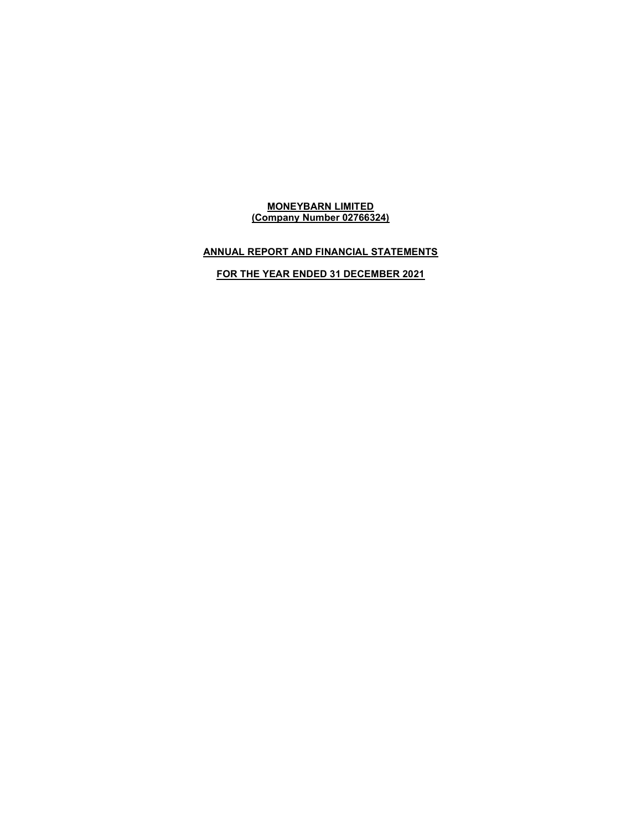## ANNUAL REPORT AND FINANCIAL STATEMENTS

## FOR THE YEAR ENDED 31 DECEMBER 2021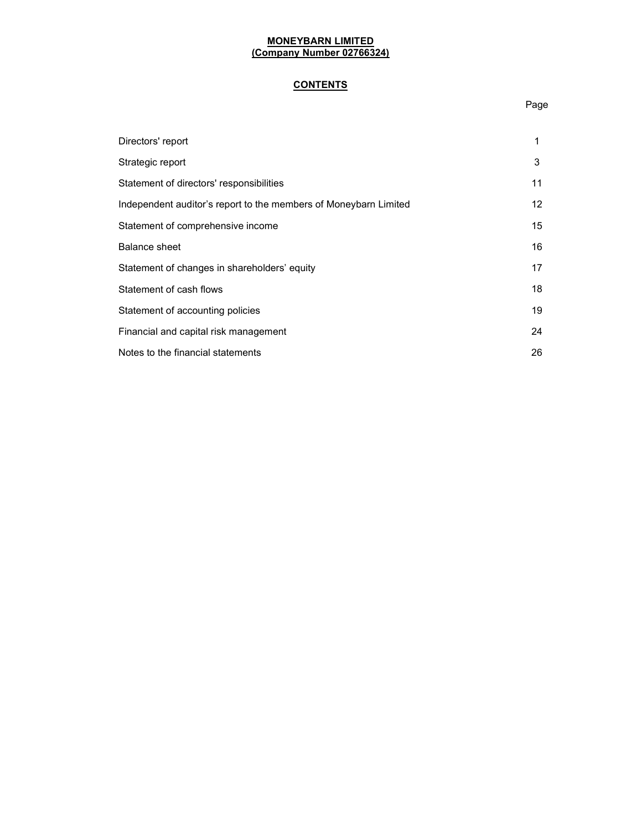## **CONTENTS**

### Page

| Directors' report                                                | 1  |
|------------------------------------------------------------------|----|
| Strategic report                                                 | 3  |
| Statement of directors' responsibilities                         | 11 |
| Independent auditor's report to the members of Moneybarn Limited | 12 |
| Statement of comprehensive income                                | 15 |
| Balance sheet                                                    | 16 |
| Statement of changes in shareholders' equity                     | 17 |
| Statement of cash flows                                          | 18 |
| Statement of accounting policies                                 | 19 |
| Financial and capital risk management                            | 24 |
| Notes to the financial statements                                | 26 |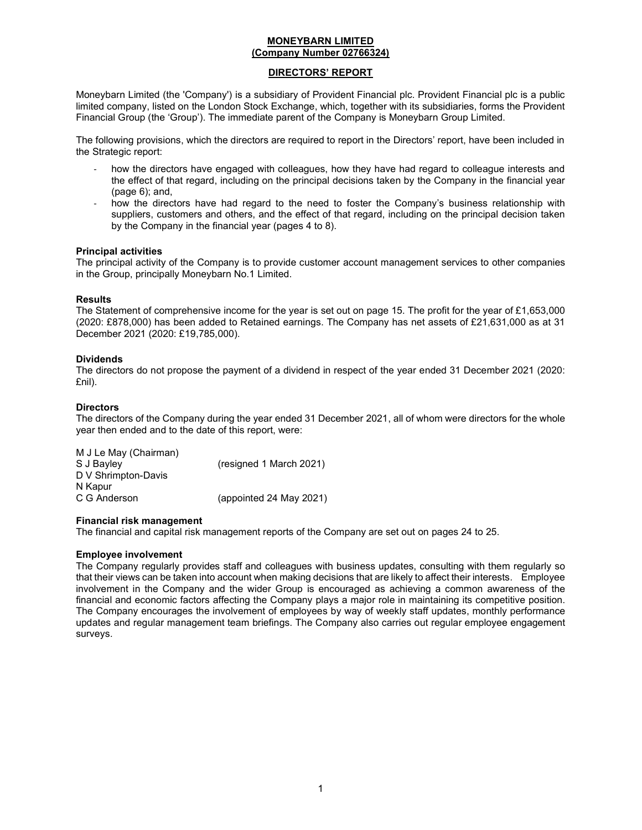### DIRECTORS' REPORT

Moneybarn Limited (the 'Company') is a subsidiary of Provident Financial plc. Provident Financial plc is a public limited company, listed on the London Stock Exchange, which, together with its subsidiaries, forms the Provident Financial Group (the 'Group'). The immediate parent of the Company is Moneybarn Group Limited.

The following provisions, which the directors are required to report in the Directors' report, have been included in the Strategic report:

- how the directors have engaged with colleagues, how they have had regard to colleague interests and the effect of that regard, including on the principal decisions taken by the Company in the financial year (page 6); and,
- how the directors have had regard to the need to foster the Company's business relationship with suppliers, customers and others, and the effect of that regard, including on the principal decision taken by the Company in the financial year (pages 4 to 8).

### Principal activities

The principal activity of the Company is to provide customer account management services to other companies in the Group, principally Moneybarn No.1 Limited.

### **Results**

The Statement of comprehensive income for the year is set out on page 15. The profit for the year of £1,653,000 (2020: £878,000) has been added to Retained earnings. The Company has net assets of £21,631,000 as at 31 December 2021 (2020: £19,785,000).

### **Dividends**

The directors do not propose the payment of a dividend in respect of the year ended 31 December 2021 (2020: £nil).

### **Directors**

The directors of the Company during the year ended 31 December 2021, all of whom were directors for the whole year then ended and to the date of this report, were:

| M J Le May (Chairman) |                         |
|-----------------------|-------------------------|
| S J Bayley            | (resigned 1 March 2021) |
| D V Shrimpton-Davis   |                         |
| N Kapur               |                         |
| C G Anderson          | (appointed 24 May 2021) |
|                       |                         |

### Financial risk management

The financial and capital risk management reports of the Company are set out on pages 24 to 25.

### Employee involvement

The Company regularly provides staff and colleagues with business updates, consulting with them regularly so that their views can be taken into account when making decisions that are likely to affect their interests. Employee involvement in the Company and the wider Group is encouraged as achieving a common awareness of the financial and economic factors affecting the Company plays a major role in maintaining its competitive position. The Company encourages the involvement of employees by way of weekly staff updates, monthly performance updates and regular management team briefings. The Company also carries out regular employee engagement surveys.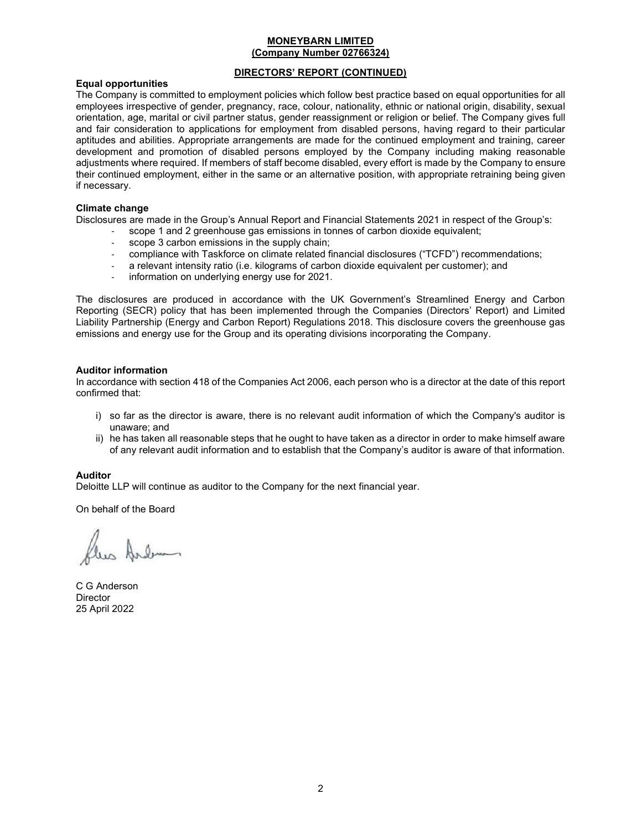### DIRECTORS' REPORT (CONTINUED)

### Equal opportunities

The Company is committed to employment policies which follow best practice based on equal opportunities for all employees irrespective of gender, pregnancy, race, colour, nationality, ethnic or national origin, disability, sexual orientation, age, marital or civil partner status, gender reassignment or religion or belief. The Company gives full and fair consideration to applications for employment from disabled persons, having regard to their particular aptitudes and abilities. Appropriate arrangements are made for the continued employment and training, career development and promotion of disabled persons employed by the Company including making reasonable adjustments where required. If members of staff become disabled, every effort is made by the Company to ensure their continued employment, either in the same or an alternative position, with appropriate retraining being given if necessary.

### Climate change

Disclosures are made in the Group's Annual Report and Financial Statements 2021 in respect of the Group's:

- scope 1 and 2 greenhouse gas emissions in tonnes of carbon dioxide equivalent;
- scope 3 carbon emissions in the supply chain;
- compliance with Taskforce on climate related financial disclosures ("TCFD") recommendations;
- a relevant intensity ratio (i.e. kilograms of carbon dioxide equivalent per customer); and
- information on underlying energy use for 2021.

The disclosures are produced in accordance with the UK Government's Streamlined Energy and Carbon Reporting (SECR) policy that has been implemented through the Companies (Directors' Report) and Limited Liability Partnership (Energy and Carbon Report) Regulations 2018. This disclosure covers the greenhouse gas emissions and energy use for the Group and its operating divisions incorporating the Company.

#### Auditor information

In accordance with section 418 of the Companies Act 2006, each person who is a director at the date of this report confirmed that:

- i) so far as the director is aware, there is no relevant audit information of which the Company's auditor is unaware; and
- ii) he has taken all reasonable steps that he ought to have taken as a director in order to make himself aware of any relevant audit information and to establish that the Company's auditor is aware of that information.

### Auditor

Deloitte LLP will continue as auditor to the Company for the next financial year.

On behalf of the Board

C G Anderson **Director** 25 April 2022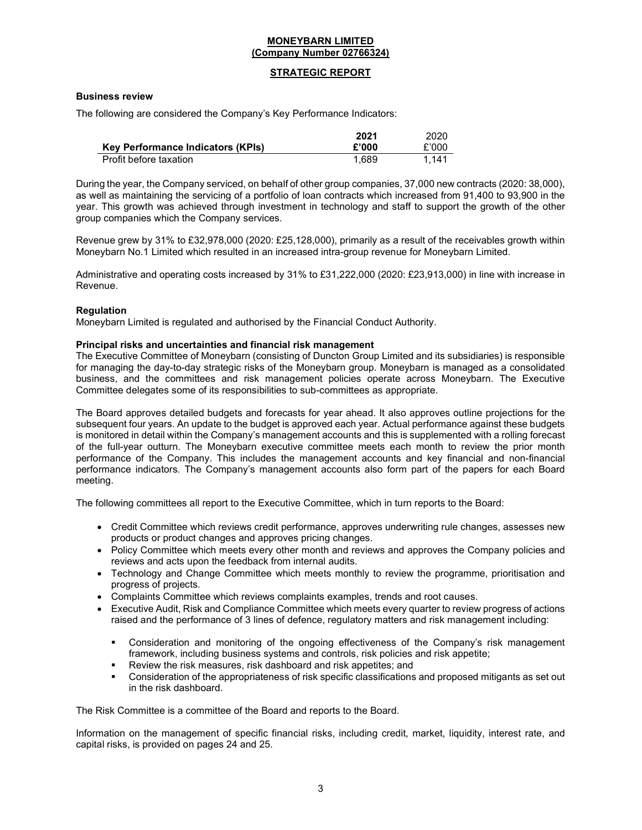### STRATEGIC REPORT

### Business review

The following are considered the Company's Key Performance Indicators:

|                                   | 2021  | 2020  |
|-----------------------------------|-------|-------|
| Key Performance Indicators (KPIs) | £'000 | £'000 |
| Profit before taxation            | 1.689 | 1.141 |

During the year, the Company serviced, on behalf of other group companies, 37,000 new contracts (2020: 38,000), as well as maintaining the servicing of a portfolio of loan contracts which increased from 91,400 to 93,900 in the year. This growth was achieved through investment in technology and staff to support the growth of the other group companies which the Company services.

Revenue grew by 31% to £32,978,000 (2020: £25,128,000), primarily as a result of the receivables growth within Moneybarn No.1 Limited which resulted in an increased intra-group revenue for Moneybarn Limited.

Administrative and operating costs increased by 31% to £31,222,000 (2020: £23,913,000) in line with increase in Revenue.

### **Regulation**

Moneybarn Limited is regulated and authorised by the Financial Conduct Authority.

### Principal risks and uncertainties and financial risk management

The Executive Committee of Moneybarn (consisting of Duncton Group Limited and its subsidiaries) is responsible for managing the day-to-day strategic risks of the Moneybarn group. Moneybarn is managed as a consolidated business, and the committees and risk management policies operate across Moneybarn. The Executive Committee delegates some of its responsibilities to sub-committees as appropriate.

The Board approves detailed budgets and forecasts for year ahead. It also approves outline projections for the subsequent four years. An update to the budget is approved each year. Actual performance against these budgets is monitored in detail within the Company's management accounts and this is supplemented with a rolling forecast of the full-year outturn. The Moneybarn executive committee meets each month to review the prior month performance of the Company. This includes the management accounts and key financial and non-financial performance indicators. The Company's management accounts also form part of the papers for each Board meeting.

The following committees all report to the Executive Committee, which in turn reports to the Board:

- Credit Committee which reviews credit performance, approves underwriting rule changes, assesses new products or product changes and approves pricing changes.
- Policy Committee which meets every other month and reviews and approves the Company policies and reviews and acts upon the feedback from internal audits.
- Technology and Change Committee which meets monthly to review the programme, prioritisation and progress of projects.
- Complaints Committee which reviews complaints examples, trends and root causes.
- Executive Audit, Risk and Compliance Committee which meets every quarter to review progress of actions raised and the performance of 3 lines of defence, regulatory matters and risk management including:
	- Consideration and monitoring of the ongoing effectiveness of the Company's risk management framework, including business systems and controls, risk policies and risk appetite;
	- Review the risk measures, risk dashboard and risk appetites; and
	- Consideration of the appropriateness of risk specific classifications and proposed mitigants as set out in the risk dashboard.

The Risk Committee is a committee of the Board and reports to the Board.

Information on the management of specific financial risks, including credit, market, liquidity, interest rate, and capital risks, is provided on pages 24 and 25.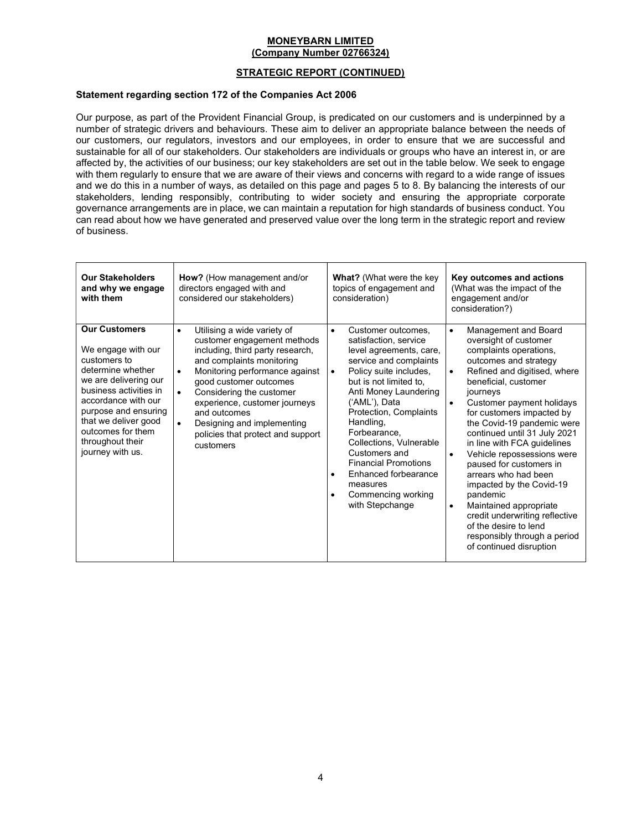### STRATEGIC REPORT (CONTINUED)

### Statement regarding section 172 of the Companies Act 2006

Our purpose, as part of the Provident Financial Group, is predicated on our customers and is underpinned by a number of strategic drivers and behaviours. These aim to deliver an appropriate balance between the needs of our customers, our regulators, investors and our employees, in order to ensure that we are successful and sustainable for all of our stakeholders. Our stakeholders are individuals or groups who have an interest in, or are affected by, the activities of our business; our key stakeholders are set out in the table below. We seek to engage with them regularly to ensure that we are aware of their views and concerns with regard to a wide range of issues and we do this in a number of ways, as detailed on this page and pages 5 to 8. By balancing the interests of our stakeholders, lending responsibly, contributing to wider society and ensuring the appropriate corporate governance arrangements are in place, we can maintain a reputation for high standards of business conduct. You can read about how we have generated and preserved value over the long term in the strategic report and review of business.

| <b>Our Stakeholders</b><br>and why we engage<br>with them                                                                                                                                                                                                              | How? (How management and/or<br>directors engaged with and<br>considered our stakeholders)                                                                                                                                                                                                                                                                                                                | <b>What?</b> (What were the key<br>topics of engagement and<br>consideration)                                                                                                                                                                                                                                                                                                                                                                        | Key outcomes and actions<br>(What was the impact of the<br>engagement and/or<br>consideration?)                                                                                                                                                                                                                                                                                                                                                                                                                                                                                                                                                                       |
|------------------------------------------------------------------------------------------------------------------------------------------------------------------------------------------------------------------------------------------------------------------------|----------------------------------------------------------------------------------------------------------------------------------------------------------------------------------------------------------------------------------------------------------------------------------------------------------------------------------------------------------------------------------------------------------|------------------------------------------------------------------------------------------------------------------------------------------------------------------------------------------------------------------------------------------------------------------------------------------------------------------------------------------------------------------------------------------------------------------------------------------------------|-----------------------------------------------------------------------------------------------------------------------------------------------------------------------------------------------------------------------------------------------------------------------------------------------------------------------------------------------------------------------------------------------------------------------------------------------------------------------------------------------------------------------------------------------------------------------------------------------------------------------------------------------------------------------|
| <b>Our Customers</b><br>We engage with our<br>customers to<br>determine whether<br>we are delivering our<br>business activities in<br>accordance with our<br>purpose and ensuring<br>that we deliver good<br>outcomes for them<br>throughout their<br>journey with us. | Utilising a wide variety of<br>$\bullet$<br>customer engagement methods<br>including, third party research,<br>and complaints monitoring<br>Monitoring performance against<br>$\bullet$<br>good customer outcomes<br>Considering the customer<br>$\bullet$<br>experience, customer journeys<br>and outcomes<br>Designing and implementing<br>$\bullet$<br>policies that protect and support<br>customers | Customer outcomes,<br>$\bullet$<br>satisfaction, service<br>level agreements, care,<br>service and complaints<br>Policy suite includes,<br>$\bullet$<br>but is not limited to,<br>Anti Money Laundering<br>('AML'), Data<br>Protection, Complaints<br>Handling,<br>Forbearance,<br>Collections, Vulnerable<br>Customers and<br><b>Financial Promotions</b><br>Enhanced forbearance<br>$\bullet$<br>measures<br>Commencing working<br>with Stepchange | Management and Board<br>$\bullet$<br>oversight of customer<br>complaints operations,<br>outcomes and strategy<br>Refined and digitised, where<br>$\bullet$<br>beneficial, customer<br>journeys<br>Customer payment holidays<br>$\bullet$<br>for customers impacted by<br>the Covid-19 pandemic were<br>continued until 31 July 2021<br>in line with FCA guidelines<br>Vehicle repossessions were<br>$\bullet$<br>paused for customers in<br>arrears who had been<br>impacted by the Covid-19<br>pandemic<br>Maintained appropriate<br>$\bullet$<br>credit underwriting reflective<br>of the desire to lend<br>responsibly through a period<br>of continued disruption |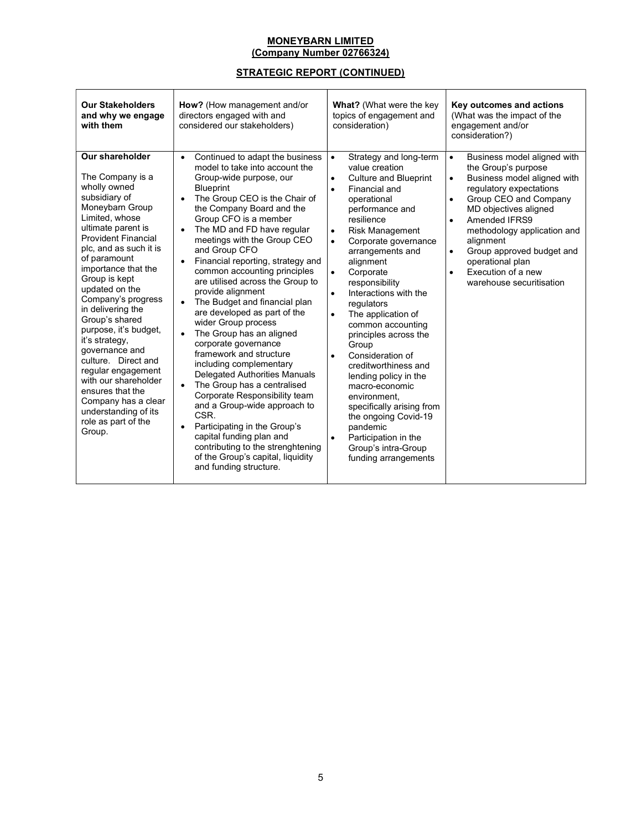## STRATEGIC REPORT (CONTINUED)

| <b>Our Stakeholders</b><br>and why we engage<br>with them                                                                                                                                                                                                                                                                                                                                                                                                                                                                                                            | How? (How management and/or<br>directors engaged with and<br>considered our stakeholders)                                                                                                                                                                                                                                                                                                                                                                                                                                                                                                                                                                                                                                                                                                                                                                                                                                                                                                              | <b>What?</b> (What were the key<br>topics of engagement and<br>consideration)                                                                                                                                                                                                                                                                                                                                                                                                                                                                                                                                                                                                                                                                                    | Key outcomes and actions<br>(What was the impact of the<br>engagement and/or<br>consideration?)                                                                                                                                                                                                                                                                                                              |
|----------------------------------------------------------------------------------------------------------------------------------------------------------------------------------------------------------------------------------------------------------------------------------------------------------------------------------------------------------------------------------------------------------------------------------------------------------------------------------------------------------------------------------------------------------------------|--------------------------------------------------------------------------------------------------------------------------------------------------------------------------------------------------------------------------------------------------------------------------------------------------------------------------------------------------------------------------------------------------------------------------------------------------------------------------------------------------------------------------------------------------------------------------------------------------------------------------------------------------------------------------------------------------------------------------------------------------------------------------------------------------------------------------------------------------------------------------------------------------------------------------------------------------------------------------------------------------------|------------------------------------------------------------------------------------------------------------------------------------------------------------------------------------------------------------------------------------------------------------------------------------------------------------------------------------------------------------------------------------------------------------------------------------------------------------------------------------------------------------------------------------------------------------------------------------------------------------------------------------------------------------------------------------------------------------------------------------------------------------------|--------------------------------------------------------------------------------------------------------------------------------------------------------------------------------------------------------------------------------------------------------------------------------------------------------------------------------------------------------------------------------------------------------------|
| Our shareholder<br>The Company is a<br>wholly owned<br>subsidiary of<br>Moneybarn Group<br>Limited, whose<br>ultimate parent is<br><b>Provident Financial</b><br>plc, and as such it is<br>of paramount<br>importance that the<br>Group is kept<br>updated on the<br>Company's progress<br>in delivering the<br>Group's shared<br>purpose, it's budget,<br>it's strategy,<br>governance and<br>culture. Direct and<br>regular engagement<br>with our shareholder<br>ensures that the<br>Company has a clear<br>understanding of its<br>role as part of the<br>Group. | Continued to adapt the business<br>$\bullet$<br>model to take into account the<br>Group-wide purpose, our<br><b>Blueprint</b><br>The Group CEO is the Chair of<br>$\bullet$<br>the Company Board and the<br>Group CFO is a member<br>The MD and FD have regular<br>$\bullet$<br>meetings with the Group CEO<br>and Group CFO<br>Financial reporting, strategy and<br>$\bullet$<br>common accounting principles<br>are utilised across the Group to<br>provide alignment<br>The Budget and financial plan<br>$\bullet$<br>are developed as part of the<br>wider Group process<br>The Group has an aligned<br>corporate governance<br>framework and structure<br>including complementary<br><b>Delegated Authorities Manuals</b><br>The Group has a centralised<br>Corporate Responsibility team<br>and a Group-wide approach to<br>CSR.<br>Participating in the Group's<br>capital funding plan and<br>contributing to the strenghtening<br>of the Group's capital, liquidity<br>and funding structure. | Strategy and long-term<br>$\bullet$<br>value creation<br><b>Culture and Blueprint</b><br>$\bullet$<br>Financial and<br>$\bullet$<br>operational<br>performance and<br>resilience<br><b>Risk Management</b><br>$\bullet$<br>Corporate governance<br>$\bullet$<br>arrangements and<br>alignment<br>Corporate<br>$\bullet$<br>responsibility<br>Interactions with the<br>$\bullet$<br>regulators<br>The application of<br>$\bullet$<br>common accounting<br>principles across the<br>Group<br>Consideration of<br>$\bullet$<br>creditworthiness and<br>lending policy in the<br>macro-economic<br>environment.<br>specifically arising from<br>the ongoing Covid-19<br>pandemic<br>Participation in the<br>$\bullet$<br>Group's intra-Group<br>funding arrangements | Business model aligned with<br>$\bullet$<br>the Group's purpose<br>Business model aligned with<br>$\bullet$<br>regulatory expectations<br>Group CEO and Company<br>$\bullet$<br>MD objectives aligned<br>Amended IFRS9<br>$\bullet$<br>methodology application and<br>alignment<br>Group approved budget and<br>$\bullet$<br>operational plan<br>Execution of a new<br>$\bullet$<br>warehouse securitisation |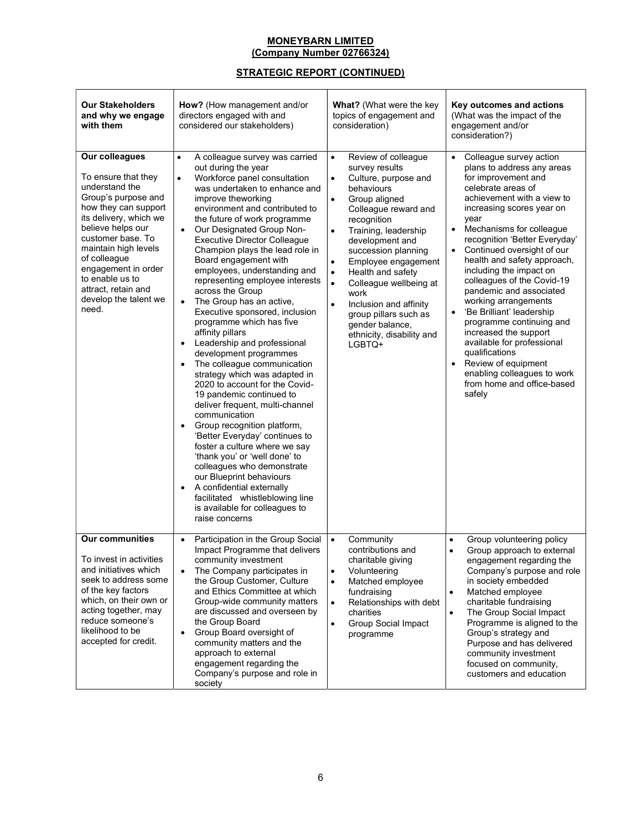## STRATEGIC REPORT (CONTINUED)

| <b>Our Stakeholders</b><br>and why we engage<br>with them                                                                                                                                                                                                                                                             | How? (How management and/or<br>directors engaged with and<br>considered our stakeholders)                                                                                                                                                                                                                                                                                                                                                                                                                                                                                                                                                                                                                                                                                                                                                                                                                                                                                                                                                                                                                                                                                | <b>What?</b> (What were the key<br>topics of engagement and<br>consideration)                                                                                                                                                                                                                                                                                                                                                                                                                            | Key outcomes and actions<br>(What was the impact of the<br>engagement and/or<br>consideration?)                                                                                                                                                                                                                                                                                                                                                                                                                                                                                                                                                                                    |
|-----------------------------------------------------------------------------------------------------------------------------------------------------------------------------------------------------------------------------------------------------------------------------------------------------------------------|--------------------------------------------------------------------------------------------------------------------------------------------------------------------------------------------------------------------------------------------------------------------------------------------------------------------------------------------------------------------------------------------------------------------------------------------------------------------------------------------------------------------------------------------------------------------------------------------------------------------------------------------------------------------------------------------------------------------------------------------------------------------------------------------------------------------------------------------------------------------------------------------------------------------------------------------------------------------------------------------------------------------------------------------------------------------------------------------------------------------------------------------------------------------------|----------------------------------------------------------------------------------------------------------------------------------------------------------------------------------------------------------------------------------------------------------------------------------------------------------------------------------------------------------------------------------------------------------------------------------------------------------------------------------------------------------|------------------------------------------------------------------------------------------------------------------------------------------------------------------------------------------------------------------------------------------------------------------------------------------------------------------------------------------------------------------------------------------------------------------------------------------------------------------------------------------------------------------------------------------------------------------------------------------------------------------------------------------------------------------------------------|
| Our colleagues<br>To ensure that they<br>understand the<br>Group's purpose and<br>how they can support<br>its delivery, which we<br>believe helps our<br>customer base. To<br>maintain high levels<br>of colleague<br>engagement in order<br>to enable us to<br>attract, retain and<br>develop the talent we<br>need. | A colleague survey was carried<br>$\bullet$<br>out during the year<br>Workforce panel consultation<br>$\bullet$<br>was undertaken to enhance and<br>improve theworking<br>environment and contributed to<br>the future of work programme<br>Our Designated Group Non-<br><b>Executive Director Colleague</b><br>Champion plays the lead role in<br>Board engagement with<br>employees, understanding and<br>representing employee interests<br>across the Group<br>The Group has an active,<br>$\bullet$<br>Executive sponsored, inclusion<br>programme which has five<br>affinity pillars<br>Leadership and professional<br>$\bullet$<br>development programmes<br>The colleague communication<br>strategy which was adapted in<br>2020 to account for the Covid-<br>19 pandemic continued to<br>deliver frequent, multi-channel<br>communication<br>Group recognition platform,<br>٠<br>'Better Everyday' continues to<br>foster a culture where we say<br>'thank you' or 'well done' to<br>colleagues who demonstrate<br>our Blueprint behaviours<br>A confidential externally<br>facilitated whistleblowing line<br>is available for colleagues to<br>raise concerns | Review of colleague<br>$\bullet$<br>survey results<br>$\bullet$<br>Culture, purpose and<br>behaviours<br>Group aligned<br>$\bullet$<br>Colleague reward and<br>recognition<br>Training, leadership<br>$\bullet$<br>development and<br>succession planning<br>Employee engagement<br>$\bullet$<br>$\bullet$<br>Health and safety<br>$\bullet$<br>Colleague wellbeing at<br>work<br>$\bullet$<br>Inclusion and affinity<br>group pillars such as<br>gender balance,<br>ethnicity, disability and<br>LGBTQ+ | Colleague survey action<br>$\bullet$<br>plans to address any areas<br>for improvement and<br>celebrate areas of<br>achievement with a view to<br>increasing scores year on<br>year<br>Mechanisms for colleague<br>$\bullet$<br>recognition 'Better Everyday'<br>Continued oversight of our<br>health and safety approach,<br>including the impact on<br>colleagues of the Covid-19<br>pandemic and associated<br>working arrangements<br>'Be Brilliant' leadership<br>programme continuing and<br>increased the support<br>available for professional<br>qualifications<br>Review of equipment<br>$\bullet$<br>enabling colleagues to work<br>from home and office-based<br>safely |
| Our communities<br>To invest in activities<br>and initiatives which<br>seek to address some<br>of the key factors<br>which, on their own or<br>acting together, may<br>reduce someone's<br>likelihood to be<br>accepted for credit.                                                                                   | Participation in the Group Social<br>$\bullet$<br>Impact Programme that delivers<br>community investment<br>The Company participates in<br>the Group Customer, Culture<br>and Ethics Committee at which<br>Group-wide community matters<br>are discussed and overseen by<br>the Group Board<br>Group Board oversight of<br>$\bullet$<br>community matters and the<br>approach to external<br>engagement regarding the<br>Company's purpose and role in<br>society                                                                                                                                                                                                                                                                                                                                                                                                                                                                                                                                                                                                                                                                                                        | Community<br>$\bullet$<br>contributions and<br>charitable giving<br>Volunteering<br>$\bullet$<br>$\bullet$<br>Matched employee<br>fundraising<br>Relationships with debt<br>$\bullet$<br>charities<br>Group Social Impact<br>$\bullet$<br>programme                                                                                                                                                                                                                                                      | Group volunteering policy<br>$\bullet$<br>Group approach to external<br>$\bullet$<br>engagement regarding the<br>Company's purpose and role<br>in society embedded<br>$\bullet$<br>Matched employee<br>charitable fundraising<br>The Group Social Impact<br>$\bullet$<br>Programme is aligned to the<br>Group's strategy and<br>Purpose and has delivered<br>community investment<br>focused on community,<br>customers and education                                                                                                                                                                                                                                              |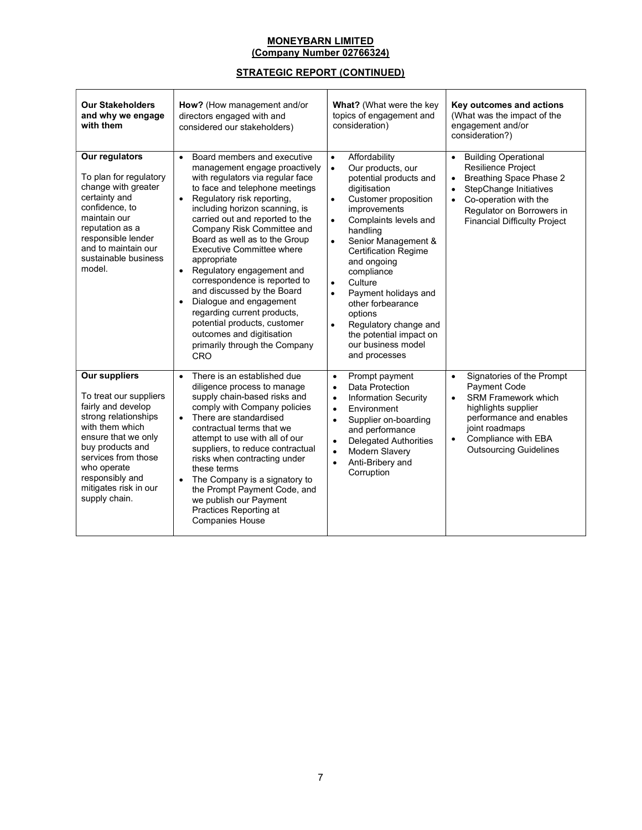## STRATEGIC REPORT (CONTINUED)

| <b>Our Stakeholders</b><br>and why we engage<br>with them                                                                                                                                                                                                     | How? (How management and/or<br>directors engaged with and<br>considered our stakeholders)                                                                                                                                                                                                                                                                                                                                                                                                                                                                                                                                                    | What? (What were the key<br>topics of engagement and<br>consideration)                                                                                                                                                                                                                                                                                                                                                                                                                                                    | Key outcomes and actions<br>(What was the impact of the<br>engagement and/or<br>consideration?)                                                                                                                                                   |
|---------------------------------------------------------------------------------------------------------------------------------------------------------------------------------------------------------------------------------------------------------------|----------------------------------------------------------------------------------------------------------------------------------------------------------------------------------------------------------------------------------------------------------------------------------------------------------------------------------------------------------------------------------------------------------------------------------------------------------------------------------------------------------------------------------------------------------------------------------------------------------------------------------------------|---------------------------------------------------------------------------------------------------------------------------------------------------------------------------------------------------------------------------------------------------------------------------------------------------------------------------------------------------------------------------------------------------------------------------------------------------------------------------------------------------------------------------|---------------------------------------------------------------------------------------------------------------------------------------------------------------------------------------------------------------------------------------------------|
| <b>Our regulators</b><br>To plan for regulatory<br>change with greater<br>certainty and<br>confidence, to<br>maintain our<br>reputation as a<br>responsible lender<br>and to maintain our<br>sustainable business<br>model.                                   | Board members and executive<br>management engage proactively<br>with regulators via regular face<br>to face and telephone meetings<br>Regulatory risk reporting,<br>including horizon scanning, is<br>carried out and reported to the<br>Company Risk Committee and<br>Board as well as to the Group<br><b>Executive Committee where</b><br>appropriate<br>Regulatory engagement and<br>$\bullet$<br>correspondence is reported to<br>and discussed by the Board<br>Dialogue and engagement<br>$\bullet$<br>regarding current products,<br>potential products, customer<br>outcomes and digitisation<br>primarily through the Company<br>CRO | Affordability<br>$\bullet$<br>Our products, our<br>$\bullet$<br>potential products and<br>digitisation<br><b>Customer proposition</b><br>$\bullet$<br>improvements<br>Complaints levels and<br>$\bullet$<br>handling<br>Senior Management &<br>$\bullet$<br><b>Certification Regime</b><br>and ongoing<br>compliance<br>Culture<br>$\bullet$<br>Payment holidays and<br>$\bullet$<br>other forbearance<br>options<br>Regulatory change and<br>$\bullet$<br>the potential impact on<br>our business model<br>and processes | <b>Building Operational</b><br>$\bullet$<br>Resilience Project<br>Breathing Space Phase 2<br>$\bullet$<br><b>StepChange Initiatives</b><br>$\bullet$<br>Co-operation with the<br>Regulator on Borrowers in<br><b>Financial Difficulty Project</b> |
| <b>Our suppliers</b><br>To treat our suppliers<br>fairly and develop<br>strong relationships<br>with them which<br>ensure that we only<br>buy products and<br>services from those<br>who operate<br>responsibly and<br>mitigates risk in our<br>supply chain. | There is an established due<br>$\bullet$<br>diligence process to manage<br>supply chain-based risks and<br>comply with Company policies<br>There are standardised<br>contractual terms that we<br>attempt to use with all of our<br>suppliers, to reduce contractual<br>risks when contracting under<br>these terms<br>The Company is a signatory to<br>$\bullet$<br>the Prompt Payment Code, and<br>we publish our Payment<br>Practices Reporting at<br><b>Companies House</b>                                                                                                                                                              | Prompt payment<br>$\bullet$<br>Data Protection<br>$\bullet$<br><b>Information Security</b><br>$\bullet$<br>Environment<br>$\bullet$<br>Supplier on-boarding<br>$\bullet$<br>and performance<br><b>Delegated Authorities</b><br>$\bullet$<br>Modern Slavery<br>$\bullet$<br>Anti-Bribery and<br>$\bullet$<br>Corruption                                                                                                                                                                                                    | Signatories of the Prompt<br>$\bullet$<br>Payment Code<br><b>SRM Framework which</b><br>$\bullet$<br>highlights supplier<br>performance and enables<br>joint roadmaps<br>Compliance with EBA<br>$\bullet$<br><b>Outsourcing Guidelines</b>        |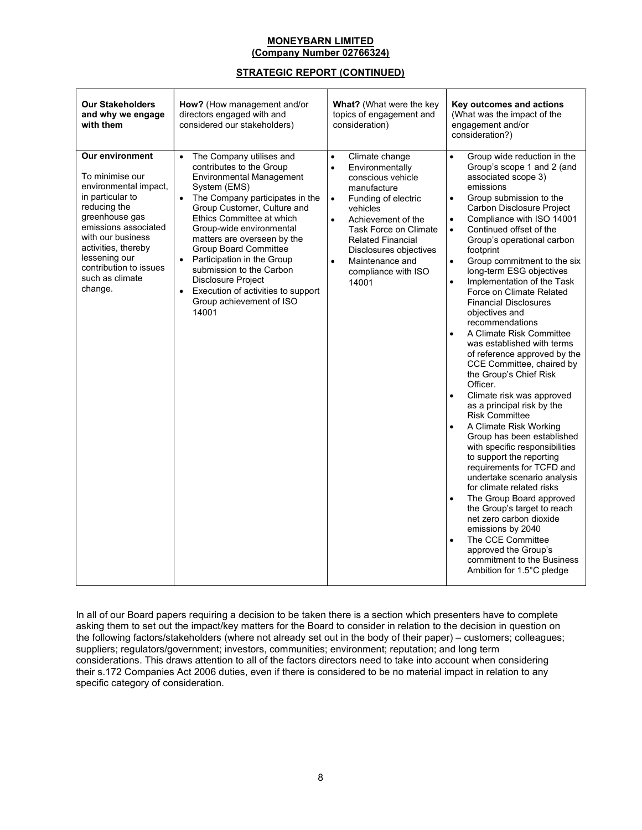### STRATEGIC REPORT (CONTINUED)

| <b>Our Stakeholders</b><br>and why we engage<br>with them                                                                                                                                                                                                             | How? (How management and/or<br>directors engaged with and<br>considered our stakeholders)                                                                                                                                                                                                                                                                                                                                                                                                                        | What? (What were the key<br>topics of engagement and<br>consideration)                                                                                                                                                                                                                                                                   | Key outcomes and actions<br>(What was the impact of the<br>engagement and/or<br>consideration?)                                                                                                                                                                                                                                                                                                                                                                                                                                                                                                                                                                                                                                                                                                                                                                                                                                                                                                                                                                                                                                                                                                                                                                                      |
|-----------------------------------------------------------------------------------------------------------------------------------------------------------------------------------------------------------------------------------------------------------------------|------------------------------------------------------------------------------------------------------------------------------------------------------------------------------------------------------------------------------------------------------------------------------------------------------------------------------------------------------------------------------------------------------------------------------------------------------------------------------------------------------------------|------------------------------------------------------------------------------------------------------------------------------------------------------------------------------------------------------------------------------------------------------------------------------------------------------------------------------------------|--------------------------------------------------------------------------------------------------------------------------------------------------------------------------------------------------------------------------------------------------------------------------------------------------------------------------------------------------------------------------------------------------------------------------------------------------------------------------------------------------------------------------------------------------------------------------------------------------------------------------------------------------------------------------------------------------------------------------------------------------------------------------------------------------------------------------------------------------------------------------------------------------------------------------------------------------------------------------------------------------------------------------------------------------------------------------------------------------------------------------------------------------------------------------------------------------------------------------------------------------------------------------------------|
| <b>Our environment</b><br>To minimise our<br>environmental impact,<br>in particular to<br>reducing the<br>greenhouse gas<br>emissions associated<br>with our business<br>activities, thereby<br>lessening our<br>contribution to issues<br>such as climate<br>change. | The Company utilises and<br>$\bullet$<br>contributes to the Group<br><b>Environmental Management</b><br>System (EMS)<br>The Company participates in the<br>$\bullet$<br>Group Customer, Culture and<br>Ethics Committee at which<br>Group-wide environmental<br>matters are overseen by the<br><b>Group Board Committee</b><br>Participation in the Group<br>$\bullet$<br>submission to the Carbon<br>Disclosure Project<br>Execution of activities to support<br>$\bullet$<br>Group achievement of ISO<br>14001 | $\bullet$<br>Climate change<br>$\bullet$<br>Environmentally<br>conscious vehicle<br>manufacture<br>Funding of electric<br>$\bullet$<br>vehicles<br>Achievement of the<br>$\bullet$<br><b>Task Force on Climate</b><br><b>Related Financial</b><br>Disclosures objectives<br>$\bullet$<br>Maintenance and<br>compliance with ISO<br>14001 | Group wide reduction in the<br>$\bullet$<br>Group's scope 1 and 2 (and<br>associated scope 3)<br>emissions<br>Group submission to the<br>$\bullet$<br>Carbon Disclosure Project<br>Compliance with ISO 14001<br>$\bullet$<br>Continued offset of the<br>$\bullet$<br>Group's operational carbon<br>footprint<br>Group commitment to the six<br>$\bullet$<br>long-term ESG objectives<br>Implementation of the Task<br>$\bullet$<br>Force on Climate Related<br><b>Financial Disclosures</b><br>objectives and<br>recommendations<br>A Climate Risk Committee<br>$\bullet$<br>was established with terms<br>of reference approved by the<br>CCE Committee, chaired by<br>the Group's Chief Risk<br>Officer.<br>Climate risk was approved<br>$\bullet$<br>as a principal risk by the<br><b>Risk Committee</b><br>A Climate Risk Working<br>$\bullet$<br>Group has been established<br>with specific responsibilities<br>to support the reporting<br>requirements for TCFD and<br>undertake scenario analysis<br>for climate related risks<br>The Group Board approved<br>$\bullet$<br>the Group's target to reach<br>net zero carbon dioxide<br>emissions by 2040<br>The CCE Committee<br>$\bullet$<br>approved the Group's<br>commitment to the Business<br>Ambition for 1.5°C pledge |

In all of our Board papers requiring a decision to be taken there is a section which presenters have to complete asking them to set out the impact/key matters for the Board to consider in relation to the decision in question on the following factors/stakeholders (where not already set out in the body of their paper) – customers; colleagues; suppliers; regulators/government; investors, communities; environment; reputation; and long term considerations. This draws attention to all of the factors directors need to take into account when considering their s.172 Companies Act 2006 duties, even if there is considered to be no material impact in relation to any specific category of consideration.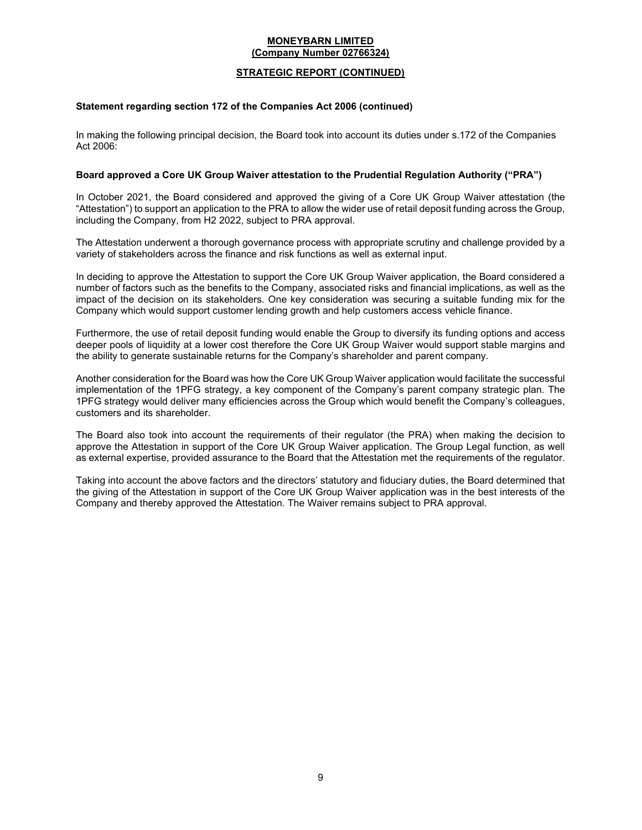### STRATEGIC REPORT (CONTINUED)

### Statement regarding section 172 of the Companies Act 2006 (continued)

In making the following principal decision, the Board took into account its duties under s.172 of the Companies Act 2006:

### Board approved a Core UK Group Waiver attestation to the Prudential Regulation Authority ("PRA")

In October 2021, the Board considered and approved the giving of a Core UK Group Waiver attestation (the "Attestation") to support an application to the PRA to allow the wider use of retail deposit funding across the Group, including the Company, from H2 2022, subject to PRA approval.

The Attestation underwent a thorough governance process with appropriate scrutiny and challenge provided by a variety of stakeholders across the finance and risk functions as well as external input.

In deciding to approve the Attestation to support the Core UK Group Waiver application, the Board considered a number of factors such as the benefits to the Company, associated risks and financial implications, as well as the impact of the decision on its stakeholders. One key consideration was securing a suitable funding mix for the Company which would support customer lending growth and help customers access vehicle finance.

Furthermore, the use of retail deposit funding would enable the Group to diversify its funding options and access deeper pools of liquidity at a lower cost therefore the Core UK Group Waiver would support stable margins and the ability to generate sustainable returns for the Company's shareholder and parent company.

Another consideration for the Board was how the Core UK Group Waiver application would facilitate the successful implementation of the 1PFG strategy, a key component of the Company's parent company strategic plan. The 1PFG strategy would deliver many efficiencies across the Group which would benefit the Company's colleagues, customers and its shareholder.

The Board also took into account the requirements of their regulator (the PRA) when making the decision to approve the Attestation in support of the Core UK Group Waiver application. The Group Legal function, as well as external expertise, provided assurance to the Board that the Attestation met the requirements of the regulator.

Taking into account the above factors and the directors' statutory and fiduciary duties, the Board determined that the giving of the Attestation in support of the Core UK Group Waiver application was in the best interests of the Company and thereby approved the Attestation. The Waiver remains subject to PRA approval.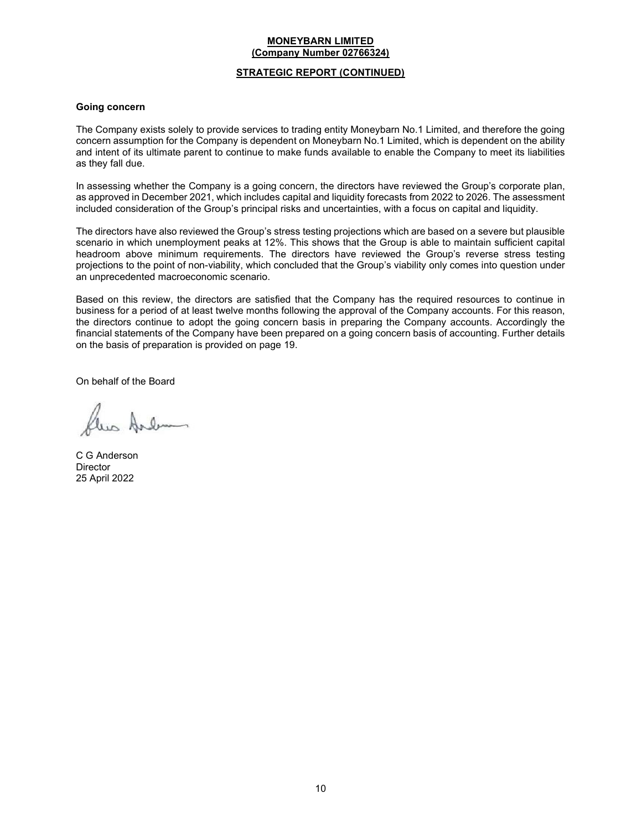### STRATEGIC REPORT (CONTINUED)

#### Going concern

The Company exists solely to provide services to trading entity Moneybarn No.1 Limited, and therefore the going concern assumption for the Company is dependent on Moneybarn No.1 Limited, which is dependent on the ability and intent of its ultimate parent to continue to make funds available to enable the Company to meet its liabilities as they fall due.

In assessing whether the Company is a going concern, the directors have reviewed the Group's corporate plan, as approved in December 2021, which includes capital and liquidity forecasts from 2022 to 2026. The assessment included consideration of the Group's principal risks and uncertainties, with a focus on capital and liquidity.

The directors have also reviewed the Group's stress testing projections which are based on a severe but plausible scenario in which unemployment peaks at 12%. This shows that the Group is able to maintain sufficient capital headroom above minimum requirements. The directors have reviewed the Group's reverse stress testing projections to the point of non-viability, which concluded that the Group's viability only comes into question under an unprecedented macroeconomic scenario.

Based on this review, the directors are satisfied that the Company has the required resources to continue in business for a period of at least twelve months following the approval of the Company accounts. For this reason, the directors continue to adopt the going concern basis in preparing the Company accounts. Accordingly the financial statements of the Company have been prepared on a going concern basis of accounting. Further details on the basis of preparation is provided on page 19.

On behalf of the Board

C G Anderson **Director** 25 April 2022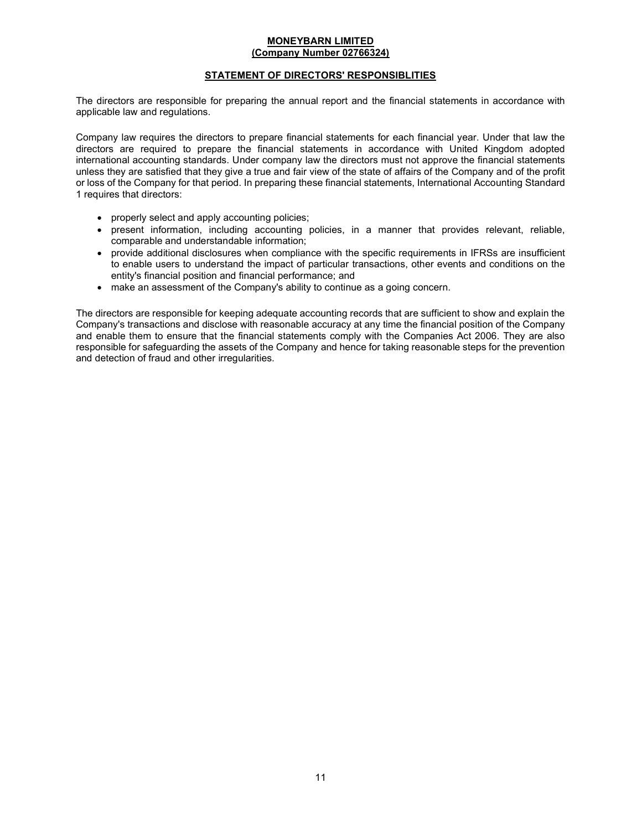### STATEMENT OF DIRECTORS' RESPONSIBLITIES

The directors are responsible for preparing the annual report and the financial statements in accordance with applicable law and regulations.

Company law requires the directors to prepare financial statements for each financial year. Under that law the directors are required to prepare the financial statements in accordance with United Kingdom adopted international accounting standards. Under company law the directors must not approve the financial statements unless they are satisfied that they give a true and fair view of the state of affairs of the Company and of the profit or loss of the Company for that period. In preparing these financial statements, International Accounting Standard 1 requires that directors:

- properly select and apply accounting policies;
- present information, including accounting policies, in a manner that provides relevant, reliable, comparable and understandable information;
- provide additional disclosures when compliance with the specific requirements in IFRSs are insufficient to enable users to understand the impact of particular transactions, other events and conditions on the entity's financial position and financial performance; and
- make an assessment of the Company's ability to continue as a going concern.

The directors are responsible for keeping adequate accounting records that are sufficient to show and explain the Company's transactions and disclose with reasonable accuracy at any time the financial position of the Company and enable them to ensure that the financial statements comply with the Companies Act 2006. They are also responsible for safeguarding the assets of the Company and hence for taking reasonable steps for the prevention and detection of fraud and other irregularities.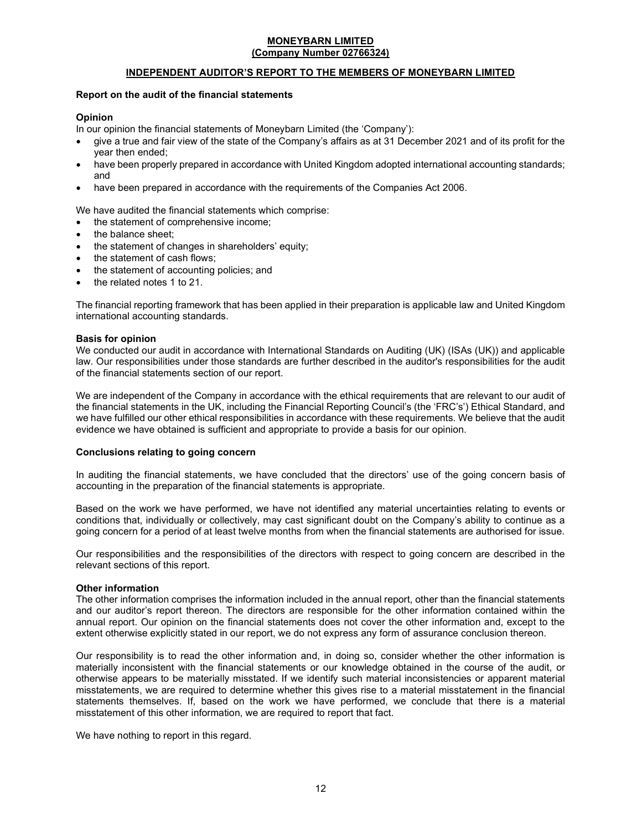### INDEPENDENT AUDITOR'S REPORT TO THE MEMBERS OF MONEYBARN LIMITED

### Report on the audit of the financial statements

#### **Opinion**

In our opinion the financial statements of Moneybarn Limited (the 'Company'):

- give a true and fair view of the state of the Company's affairs as at 31 December 2021 and of its profit for the year then ended;
- have been properly prepared in accordance with United Kingdom adopted international accounting standards; and
- have been prepared in accordance with the requirements of the Companies Act 2006.

We have audited the financial statements which comprise:

- the statement of comprehensive income;
- the balance sheet:
- the statement of changes in shareholders' equity;
- the statement of cash flows;
- the statement of accounting policies; and
- the related notes 1 to 21.

The financial reporting framework that has been applied in their preparation is applicable law and United Kingdom international accounting standards.

#### Basis for opinion

We conducted our audit in accordance with International Standards on Auditing (UK) (ISAs (UK)) and applicable law. Our responsibilities under those standards are further described in the auditor's responsibilities for the audit of the financial statements section of our report.

We are independent of the Company in accordance with the ethical requirements that are relevant to our audit of the financial statements in the UK, including the Financial Reporting Council's (the 'FRC's') Ethical Standard, and we have fulfilled our other ethical responsibilities in accordance with these requirements. We believe that the audit evidence we have obtained is sufficient and appropriate to provide a basis for our opinion.

#### Conclusions relating to going concern

In auditing the financial statements, we have concluded that the directors' use of the going concern basis of accounting in the preparation of the financial statements is appropriate.

Based on the work we have performed, we have not identified any material uncertainties relating to events or conditions that, individually or collectively, may cast significant doubt on the Company's ability to continue as a going concern for a period of at least twelve months from when the financial statements are authorised for issue.

Our responsibilities and the responsibilities of the directors with respect to going concern are described in the relevant sections of this report.

#### Other information

The other information comprises the information included in the annual report, other than the financial statements and our auditor's report thereon. The directors are responsible for the other information contained within the annual report. Our opinion on the financial statements does not cover the other information and, except to the extent otherwise explicitly stated in our report, we do not express any form of assurance conclusion thereon.

Our responsibility is to read the other information and, in doing so, consider whether the other information is materially inconsistent with the financial statements or our knowledge obtained in the course of the audit, or otherwise appears to be materially misstated. If we identify such material inconsistencies or apparent material misstatements, we are required to determine whether this gives rise to a material misstatement in the financial statements themselves. If, based on the work we have performed, we conclude that there is a material misstatement of this other information, we are required to report that fact.

We have nothing to report in this regard.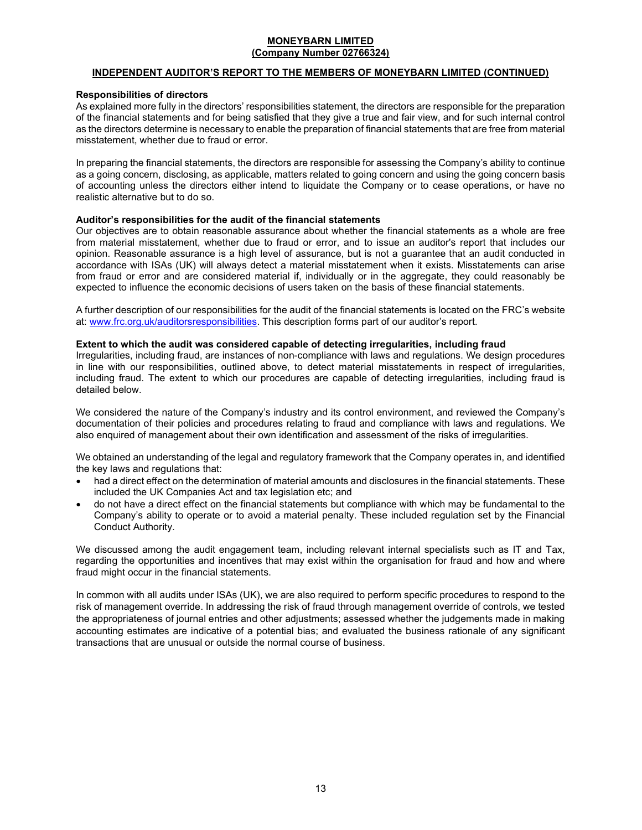### INDEPENDENT AUDITOR'S REPORT TO THE MEMBERS OF MONEYBARN LIMITED (CONTINUED)

### Responsibilities of directors

As explained more fully in the directors' responsibilities statement, the directors are responsible for the preparation of the financial statements and for being satisfied that they give a true and fair view, and for such internal control as the directors determine is necessary to enable the preparation of financial statements that are free from material misstatement, whether due to fraud or error.

In preparing the financial statements, the directors are responsible for assessing the Company's ability to continue as a going concern, disclosing, as applicable, matters related to going concern and using the going concern basis of accounting unless the directors either intend to liquidate the Company or to cease operations, or have no realistic alternative but to do so.

### Auditor's responsibilities for the audit of the financial statements

Our objectives are to obtain reasonable assurance about whether the financial statements as a whole are free from material misstatement, whether due to fraud or error, and to issue an auditor's report that includes our opinion. Reasonable assurance is a high level of assurance, but is not a guarantee that an audit conducted in accordance with ISAs (UK) will always detect a material misstatement when it exists. Misstatements can arise from fraud or error and are considered material if, individually or in the aggregate, they could reasonably be expected to influence the economic decisions of users taken on the basis of these financial statements.

A further description of our responsibilities for the audit of the financial statements is located on the FRC's website at: www.frc.org.uk/auditorsresponsibilities. This description forms part of our auditor's report.

### Extent to which the audit was considered capable of detecting irregularities, including fraud

Irregularities, including fraud, are instances of non-compliance with laws and regulations. We design procedures in line with our responsibilities, outlined above, to detect material misstatements in respect of irregularities, including fraud. The extent to which our procedures are capable of detecting irregularities, including fraud is detailed below.

We considered the nature of the Company's industry and its control environment, and reviewed the Company's documentation of their policies and procedures relating to fraud and compliance with laws and regulations. We also enquired of management about their own identification and assessment of the risks of irregularities.

We obtained an understanding of the legal and regulatory framework that the Company operates in, and identified the key laws and regulations that:

- had a direct effect on the determination of material amounts and disclosures in the financial statements. These included the UK Companies Act and tax legislation etc; and
- do not have a direct effect on the financial statements but compliance with which may be fundamental to the Company's ability to operate or to avoid a material penalty. These included regulation set by the Financial Conduct Authority.

We discussed among the audit engagement team, including relevant internal specialists such as IT and Tax, regarding the opportunities and incentives that may exist within the organisation for fraud and how and where fraud might occur in the financial statements.

In common with all audits under ISAs (UK), we are also required to perform specific procedures to respond to the risk of management override. In addressing the risk of fraud through management override of controls, we tested the appropriateness of journal entries and other adjustments; assessed whether the judgements made in making accounting estimates are indicative of a potential bias; and evaluated the business rationale of any significant transactions that are unusual or outside the normal course of business.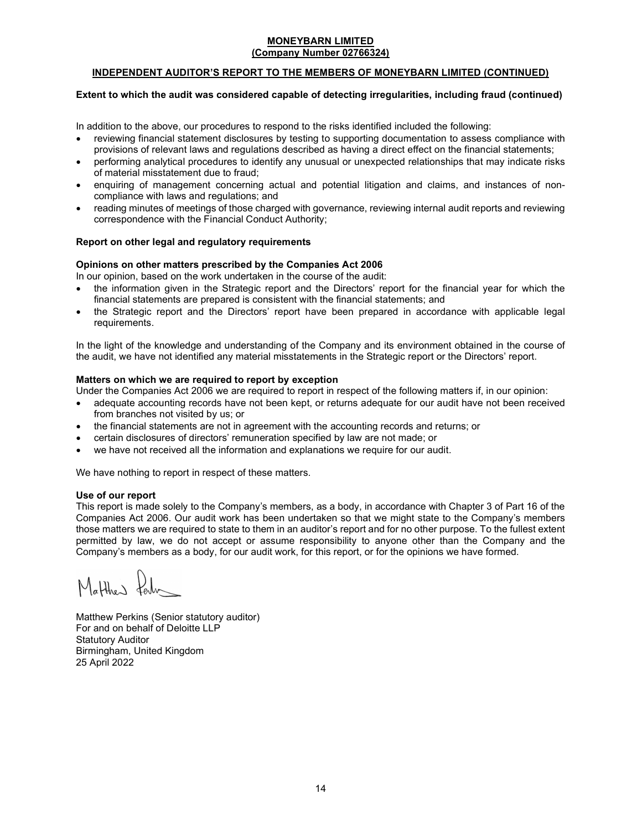## MONEYBARN LIMITED

(Company Number 02766324)

### INDEPENDENT AUDITOR'S REPORT TO THE MEMBERS OF MONEYBARN LIMITED (CONTINUED)

### Extent to which the audit was considered capable of detecting irregularities, including fraud (continued)

In addition to the above, our procedures to respond to the risks identified included the following:

- reviewing financial statement disclosures by testing to supporting documentation to assess compliance with provisions of relevant laws and regulations described as having a direct effect on the financial statements;
- performing analytical procedures to identify any unusual or unexpected relationships that may indicate risks of material misstatement due to fraud;
- enquiring of management concerning actual and potential litigation and claims, and instances of noncompliance with laws and regulations; and
- reading minutes of meetings of those charged with governance, reviewing internal audit reports and reviewing correspondence with the Financial Conduct Authority;

### Report on other legal and regulatory requirements

### Opinions on other matters prescribed by the Companies Act 2006

In our opinion, based on the work undertaken in the course of the audit:

- the information given in the Strategic report and the Directors' report for the financial year for which the financial statements are prepared is consistent with the financial statements; and
- the Strategic report and the Directors' report have been prepared in accordance with applicable legal requirements.

In the light of the knowledge and understanding of the Company and its environment obtained in the course of the audit, we have not identified any material misstatements in the Strategic report or the Directors' report.

### Matters on which we are required to report by exception

Under the Companies Act 2006 we are required to report in respect of the following matters if, in our opinion:

- adequate accounting records have not been kept, or returns adequate for our audit have not been received from branches not visited by us; or
- the financial statements are not in agreement with the accounting records and returns; or
- certain disclosures of directors' remuneration specified by law are not made; or
- we have not received all the information and explanations we require for our audit.

We have nothing to report in respect of these matters.

### Use of our report

This report is made solely to the Company's members, as a body, in accordance with Chapter 3 of Part 16 of the Companies Act 2006. Our audit work has been undertaken so that we might state to the Company's members those matters we are required to state to them in an auditor's report and for no other purpose. To the fullest extent permitted by law, we do not accept or assume responsibility to anyone other than the Company and the Company's members as a body, for our audit work, for this report, or for the opinions we have formed.

Matthew

Matthew Perkins (Senior statutory auditor) For and on behalf of Deloitte LLP Statutory Auditor Birmingham, United Kingdom 25 April 2022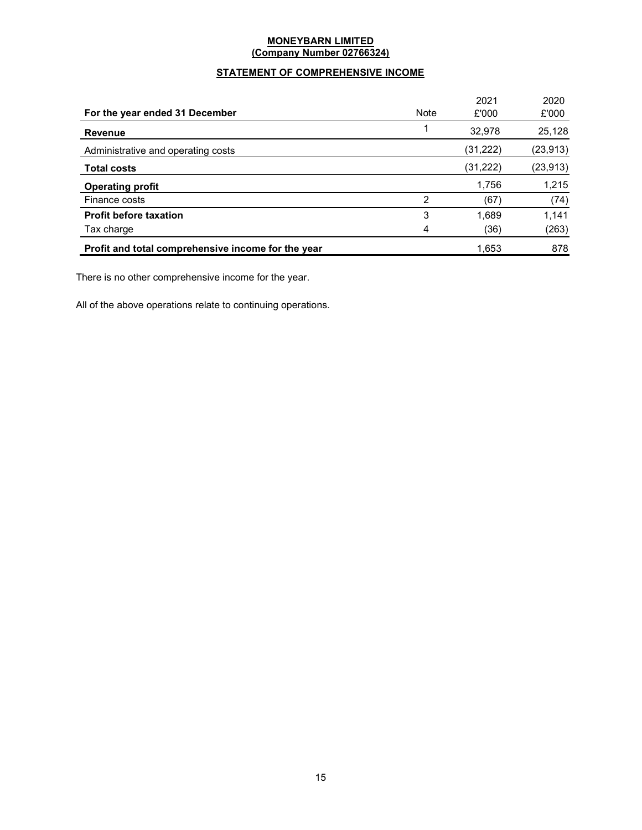## STATEMENT OF COMPREHENSIVE INCOME

|                                                    |      | 2021     | 2020      |
|----------------------------------------------------|------|----------|-----------|
| For the year ended 31 December                     | Note | £'000    | £'000     |
| <b>Revenue</b>                                     | 1    | 32,978   | 25,128    |
| Administrative and operating costs                 |      | (31,222) | (23, 913) |
| <b>Total costs</b>                                 |      | (31,222) | (23, 913) |
| <b>Operating profit</b>                            |      | 1,756    | 1,215     |
| Finance costs                                      | 2    | (67)     | (74)      |
| <b>Profit before taxation</b>                      | 3    | 1,689    | 1,141     |
| Tax charge                                         | 4    | (36)     | (263)     |
| Profit and total comprehensive income for the year |      | 1,653    | 878       |

There is no other comprehensive income for the year.

All of the above operations relate to continuing operations.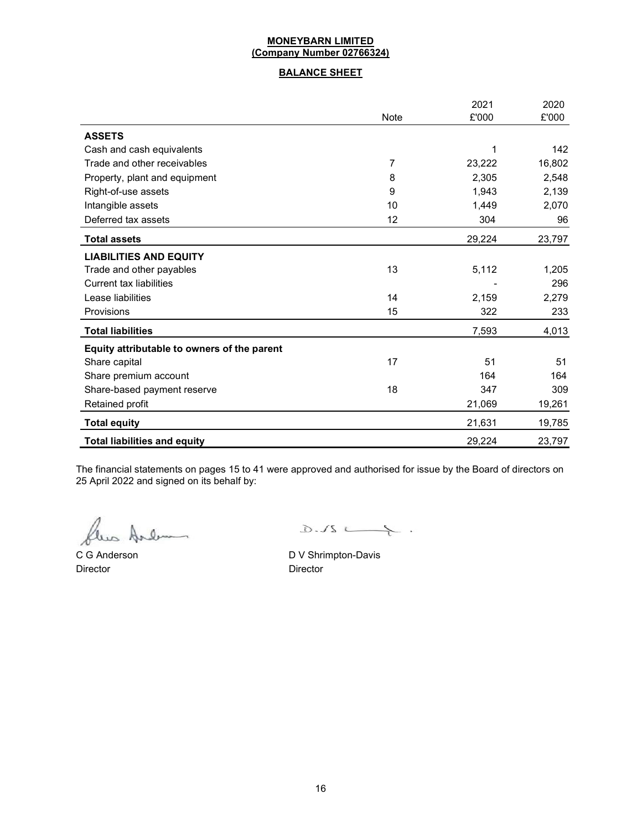### BALANCE SHEET

|                                             |             | 2021   | 2020   |
|---------------------------------------------|-------------|--------|--------|
|                                             | <b>Note</b> | £'000  | £'000  |
| <b>ASSETS</b>                               |             |        |        |
| Cash and cash equivalents                   |             | 1      | 142    |
| Trade and other receivables                 | 7           | 23,222 | 16,802 |
| Property, plant and equipment               | 8           | 2,305  | 2,548  |
| Right-of-use assets                         | 9           | 1,943  | 2,139  |
| Intangible assets                           | 10          | 1,449  | 2,070  |
| Deferred tax assets                         | 12          | 304    | 96     |
| <b>Total assets</b>                         |             | 29,224 | 23,797 |
| <b>LIABILITIES AND EQUITY</b>               |             |        |        |
| Trade and other payables                    | 13          | 5,112  | 1,205  |
| <b>Current tax liabilities</b>              |             |        | 296    |
| Lease liabilities                           | 14          | 2,159  | 2,279  |
| Provisions                                  | 15          | 322    | 233    |
| <b>Total liabilities</b>                    |             | 7,593  | 4,013  |
| Equity attributable to owners of the parent |             |        |        |
| Share capital                               | 17          | 51     | 51     |
| Share premium account                       |             | 164    | 164    |
| Share-based payment reserve                 | 18          | 347    | 309    |
| Retained profit                             |             | 21,069 | 19,261 |
| <b>Total equity</b>                         |             | 21,631 | 19,785 |
| <b>Total liabilities and equity</b>         |             | 29,224 | 23,797 |

The financial statements on pages 15 to 41 were approved and authorised for issue by the Board of directors on 25 April 2022 and signed on its behalf by:

Andra

Director Director

 $.4 - 2.6$ 

C G Anderson D V Shrimpton-Davis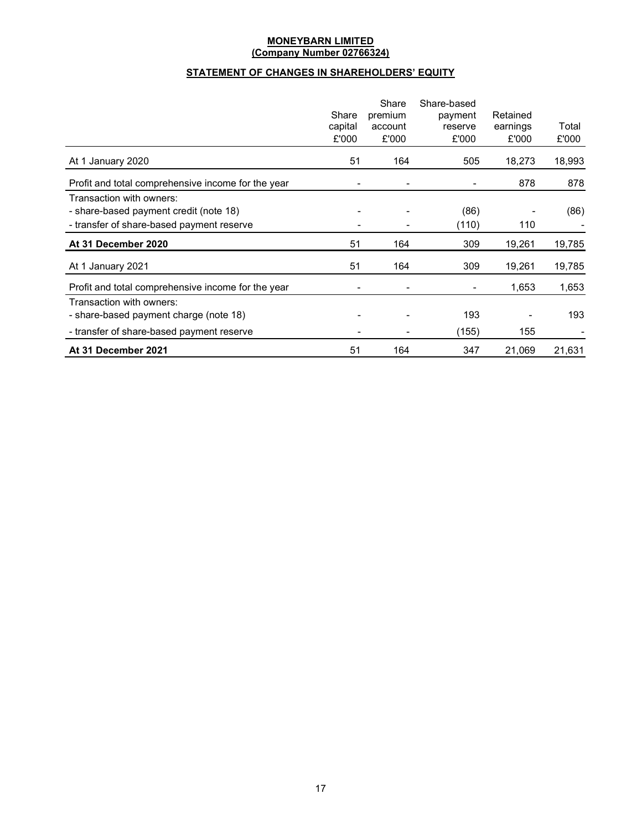## STATEMENT OF CHANGES IN SHAREHOLDERS' EQUITY

|                                                    |         | Share   | Share-based |          |        |
|----------------------------------------------------|---------|---------|-------------|----------|--------|
|                                                    | Share   | premium | payment     | Retained |        |
|                                                    | capital | account | reserve     | earnings | Total  |
|                                                    | £'000   | £'000   | £'000       | £'000    | £'000  |
| At 1 January 2020                                  | 51      | 164     | 505         | 18,273   | 18,993 |
| Profit and total comprehensive income for the year |         |         |             | 878      | 878    |
| Transaction with owners:                           |         |         |             |          |        |
| - share-based payment credit (note 18)             |         |         | (86)        |          | (86)   |
| - transfer of share-based payment reserve          |         |         | (110)       | 110      |        |
| At 31 December 2020                                | 51      | 164     | 309         | 19,261   | 19,785 |
| At 1 January 2021                                  | 51      | 164     | 309         | 19,261   | 19,785 |
| Profit and total comprehensive income for the year |         |         |             | 1,653    | 1,653  |
| Transaction with owners:                           |         |         |             |          |        |
| - share-based payment charge (note 18)             |         |         | 193         |          | 193    |
| - transfer of share-based payment reserve          |         |         | (155)       | 155      |        |
| At 31 December 2021                                | 51      | 164     | 347         | 21,069   | 21,631 |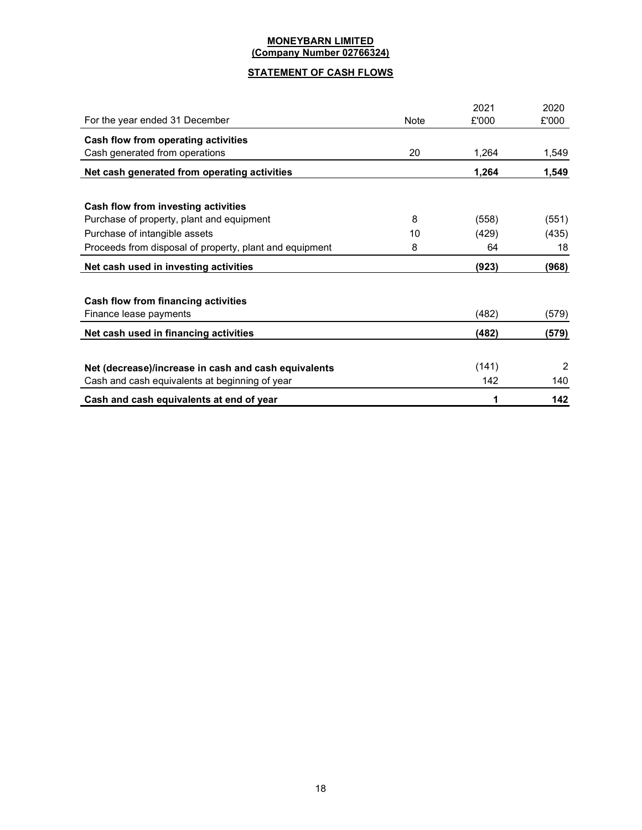## STATEMENT OF CASH FLOWS

|                                                         |             | 2021  | 2020  |
|---------------------------------------------------------|-------------|-------|-------|
| For the year ended 31 December                          | <b>Note</b> | £'000 | £'000 |
| Cash flow from operating activities                     |             |       |       |
| Cash generated from operations                          | 20          | 1,264 | 1,549 |
| Net cash generated from operating activities            |             | 1,264 | 1,549 |
|                                                         |             |       |       |
| Cash flow from investing activities                     |             |       |       |
| Purchase of property, plant and equipment               | 8           | (558) | (551) |
| Purchase of intangible assets                           | 10          | (429) | (435) |
| Proceeds from disposal of property, plant and equipment | 8           | 64    | 18    |
| Net cash used in investing activities                   |             | (923) | (968) |
| Cash flow from financing activities                     |             |       |       |
| Finance lease payments                                  |             | (482) | (579) |
| Net cash used in financing activities                   |             | (482) | (579) |
|                                                         |             |       |       |
| Net (decrease)/increase in cash and cash equivalents    |             | (141) | 2     |
| Cash and cash equivalents at beginning of year          |             | 142   | 140   |
| Cash and cash equivalents at end of year                |             | 1     | 142   |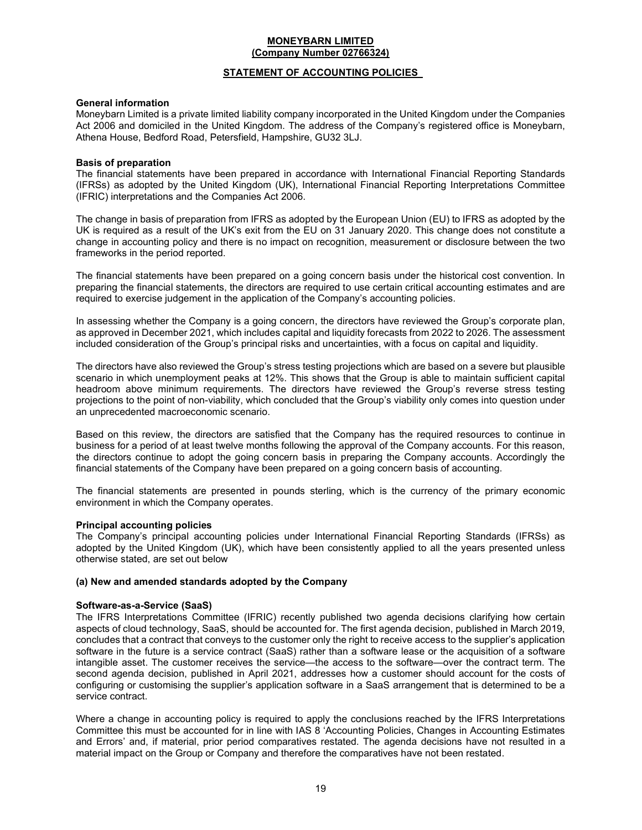### STATEMENT OF ACCOUNTING POLICIES

#### General information

Moneybarn Limited is a private limited liability company incorporated in the United Kingdom under the Companies Act 2006 and domiciled in the United Kingdom. The address of the Company's registered office is Moneybarn, Athena House, Bedford Road, Petersfield, Hampshire, GU32 3LJ.

#### Basis of preparation

The financial statements have been prepared in accordance with International Financial Reporting Standards (IFRSs) as adopted by the United Kingdom (UK), International Financial Reporting Interpretations Committee (IFRIC) interpretations and the Companies Act 2006.

The change in basis of preparation from IFRS as adopted by the European Union (EU) to IFRS as adopted by the UK is required as a result of the UK's exit from the EU on 31 January 2020. This change does not constitute a change in accounting policy and there is no impact on recognition, measurement or disclosure between the two frameworks in the period reported.

The financial statements have been prepared on a going concern basis under the historical cost convention. In preparing the financial statements, the directors are required to use certain critical accounting estimates and are required to exercise judgement in the application of the Company's accounting policies.

In assessing whether the Company is a going concern, the directors have reviewed the Group's corporate plan, as approved in December 2021, which includes capital and liquidity forecasts from 2022 to 2026. The assessment included consideration of the Group's principal risks and uncertainties, with a focus on capital and liquidity.

The directors have also reviewed the Group's stress testing projections which are based on a severe but plausible scenario in which unemployment peaks at 12%. This shows that the Group is able to maintain sufficient capital headroom above minimum requirements. The directors have reviewed the Group's reverse stress testing projections to the point of non-viability, which concluded that the Group's viability only comes into question under an unprecedented macroeconomic scenario.

Based on this review, the directors are satisfied that the Company has the required resources to continue in business for a period of at least twelve months following the approval of the Company accounts. For this reason, the directors continue to adopt the going concern basis in preparing the Company accounts. Accordingly the financial statements of the Company have been prepared on a going concern basis of accounting.

The financial statements are presented in pounds sterling, which is the currency of the primary economic environment in which the Company operates.

### Principal accounting policies

The Company's principal accounting policies under International Financial Reporting Standards (IFRSs) as adopted by the United Kingdom (UK), which have been consistently applied to all the years presented unless otherwise stated, are set out below

### (a) New and amended standards adopted by the Company

### Software-as-a-Service (SaaS)

The IFRS Interpretations Committee (IFRIC) recently published two agenda decisions clarifying how certain aspects of cloud technology, SaaS, should be accounted for. The first agenda decision, published in March 2019, concludes that a contract that conveys to the customer only the right to receive access to the supplier's application software in the future is a service contract (SaaS) rather than a software lease or the acquisition of a software intangible asset. The customer receives the service—the access to the software—over the contract term. The second agenda decision, published in April 2021, addresses how a customer should account for the costs of configuring or customising the supplier's application software in a SaaS arrangement that is determined to be a service contract.

Where a change in accounting policy is required to apply the conclusions reached by the IFRS Interpretations Committee this must be accounted for in line with IAS 8 'Accounting Policies, Changes in Accounting Estimates and Errors' and, if material, prior period comparatives restated. The agenda decisions have not resulted in a material impact on the Group or Company and therefore the comparatives have not been restated.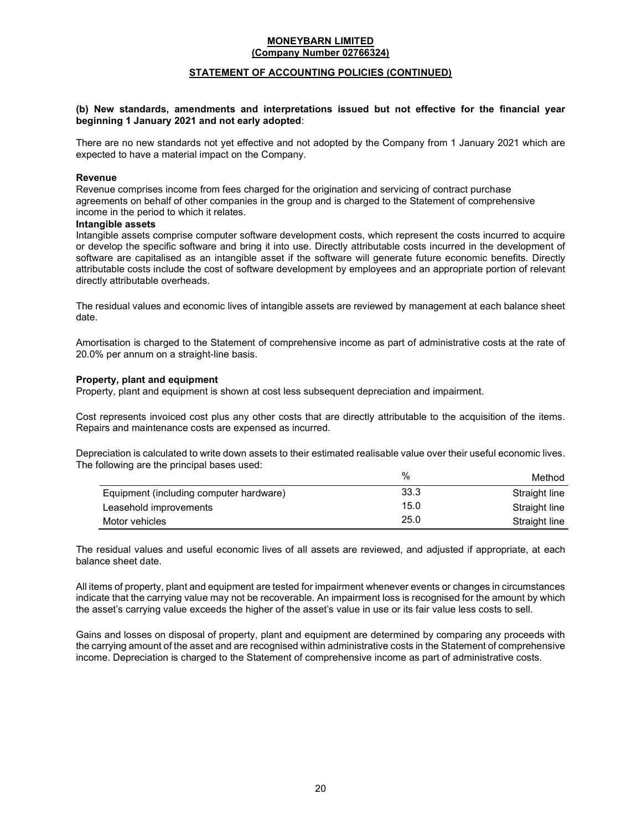### STATEMENT OF ACCOUNTING POLICIES (CONTINUED)

### (b) New standards, amendments and interpretations issued but not effective for the financial year beginning 1 January 2021 and not early adopted:

There are no new standards not yet effective and not adopted by the Company from 1 January 2021 which are expected to have a material impact on the Company.

#### Revenue

Revenue comprises income from fees charged for the origination and servicing of contract purchase agreements on behalf of other companies in the group and is charged to the Statement of comprehensive income in the period to which it relates.

#### Intangible assets

Intangible assets comprise computer software development costs, which represent the costs incurred to acquire or develop the specific software and bring it into use. Directly attributable costs incurred in the development of software are capitalised as an intangible asset if the software will generate future economic benefits. Directly attributable costs include the cost of software development by employees and an appropriate portion of relevant directly attributable overheads.

The residual values and economic lives of intangible assets are reviewed by management at each balance sheet date.

Amortisation is charged to the Statement of comprehensive income as part of administrative costs at the rate of 20.0% per annum on a straight-line basis.

### Property, plant and equipment

Property, plant and equipment is shown at cost less subsequent depreciation and impairment.

Cost represents invoiced cost plus any other costs that are directly attributable to the acquisition of the items. Repairs and maintenance costs are expensed as incurred.

Depreciation is calculated to write down assets to their estimated realisable value over their useful economic lives. The following are the principal bases used:

|                                         | $\%$ | Method        |
|-----------------------------------------|------|---------------|
| Equipment (including computer hardware) | 33.3 | Straight line |
| Leasehold improvements                  | 15.0 | Straight line |
| Motor vehicles                          | 25.0 | Straight line |

The residual values and useful economic lives of all assets are reviewed, and adjusted if appropriate, at each balance sheet date.

All items of property, plant and equipment are tested for impairment whenever events or changes in circumstances indicate that the carrying value may not be recoverable. An impairment loss is recognised for the amount by which the asset's carrying value exceeds the higher of the asset's value in use or its fair value less costs to sell.

Gains and losses on disposal of property, plant and equipment are determined by comparing any proceeds with the carrying amount of the asset and are recognised within administrative costs in the Statement of comprehensive income. Depreciation is charged to the Statement of comprehensive income as part of administrative costs.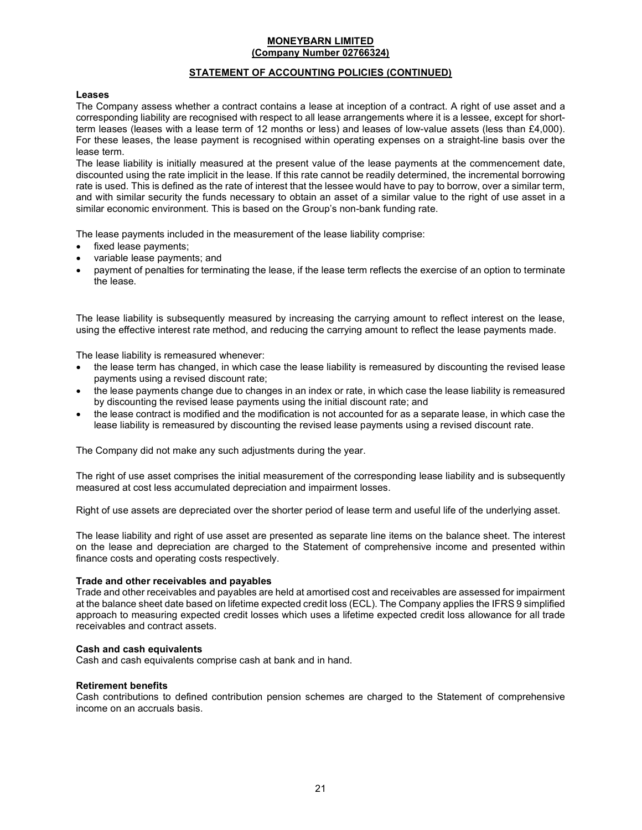# MONEYBARN LIMITED

### (Company Number 02766324)

### STATEMENT OF ACCOUNTING POLICIES (CONTINUED)

### Leases

The Company assess whether a contract contains a lease at inception of a contract. A right of use asset and a corresponding liability are recognised with respect to all lease arrangements where it is a lessee, except for shortterm leases (leases with a lease term of 12 months or less) and leases of low-value assets (less than £4,000). For these leases, the lease payment is recognised within operating expenses on a straight-line basis over the lease term.

The lease liability is initially measured at the present value of the lease payments at the commencement date, discounted using the rate implicit in the lease. If this rate cannot be readily determined, the incremental borrowing rate is used. This is defined as the rate of interest that the lessee would have to pay to borrow, over a similar term, and with similar security the funds necessary to obtain an asset of a similar value to the right of use asset in a similar economic environment. This is based on the Group's non-bank funding rate.

The lease payments included in the measurement of the lease liability comprise:

- fixed lease payments;
- variable lease payments; and
- payment of penalties for terminating the lease, if the lease term reflects the exercise of an option to terminate the lease.

The lease liability is subsequently measured by increasing the carrying amount to reflect interest on the lease, using the effective interest rate method, and reducing the carrying amount to reflect the lease payments made.

The lease liability is remeasured whenever:

- the lease term has changed, in which case the lease liability is remeasured by discounting the revised lease payments using a revised discount rate;
- the lease payments change due to changes in an index or rate, in which case the lease liability is remeasured by discounting the revised lease payments using the initial discount rate; and
- the lease contract is modified and the modification is not accounted for as a separate lease, in which case the lease liability is remeasured by discounting the revised lease payments using a revised discount rate.

The Company did not make any such adjustments during the year.

The right of use asset comprises the initial measurement of the corresponding lease liability and is subsequently measured at cost less accumulated depreciation and impairment losses.

Right of use assets are depreciated over the shorter period of lease term and useful life of the underlying asset.

The lease liability and right of use asset are presented as separate line items on the balance sheet. The interest on the lease and depreciation are charged to the Statement of comprehensive income and presented within finance costs and operating costs respectively.

### Trade and other receivables and payables

Trade and other receivables and payables are held at amortised cost and receivables are assessed for impairment at the balance sheet date based on lifetime expected credit loss (ECL). The Company applies the IFRS 9 simplified approach to measuring expected credit losses which uses a lifetime expected credit loss allowance for all trade receivables and contract assets.

### Cash and cash equivalents

Cash and cash equivalents comprise cash at bank and in hand.

### Retirement benefits

Cash contributions to defined contribution pension schemes are charged to the Statement of comprehensive income on an accruals basis.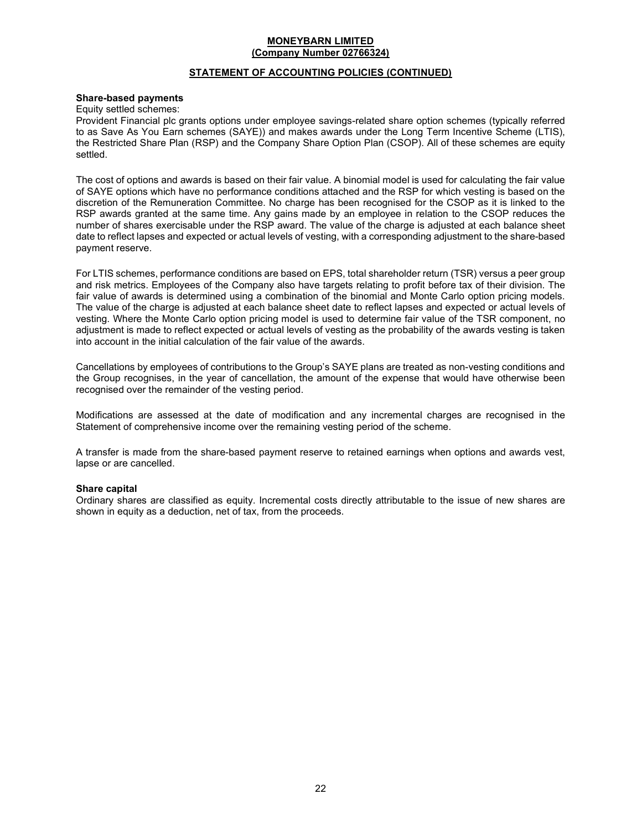### STATEMENT OF ACCOUNTING POLICIES (CONTINUED)

### Share-based payments

Equity settled schemes:

Provident Financial plc grants options under employee savings-related share option schemes (typically referred to as Save As You Earn schemes (SAYE)) and makes awards under the Long Term Incentive Scheme (LTIS), the Restricted Share Plan (RSP) and the Company Share Option Plan (CSOP). All of these schemes are equity settled.

The cost of options and awards is based on their fair value. A binomial model is used for calculating the fair value of SAYE options which have no performance conditions attached and the RSP for which vesting is based on the discretion of the Remuneration Committee. No charge has been recognised for the CSOP as it is linked to the RSP awards granted at the same time. Any gains made by an employee in relation to the CSOP reduces the number of shares exercisable under the RSP award. The value of the charge is adjusted at each balance sheet date to reflect lapses and expected or actual levels of vesting, with a corresponding adjustment to the share-based payment reserve.

For LTIS schemes, performance conditions are based on EPS, total shareholder return (TSR) versus a peer group and risk metrics. Employees of the Company also have targets relating to profit before tax of their division. The fair value of awards is determined using a combination of the binomial and Monte Carlo option pricing models. The value of the charge is adjusted at each balance sheet date to reflect lapses and expected or actual levels of vesting. Where the Monte Carlo option pricing model is used to determine fair value of the TSR component, no adjustment is made to reflect expected or actual levels of vesting as the probability of the awards vesting is taken into account in the initial calculation of the fair value of the awards.

Cancellations by employees of contributions to the Group's SAYE plans are treated as non-vesting conditions and the Group recognises, in the year of cancellation, the amount of the expense that would have otherwise been recognised over the remainder of the vesting period.

Modifications are assessed at the date of modification and any incremental charges are recognised in the Statement of comprehensive income over the remaining vesting period of the scheme.

A transfer is made from the share-based payment reserve to retained earnings when options and awards vest, lapse or are cancelled.

### Share capital

Ordinary shares are classified as equity. Incremental costs directly attributable to the issue of new shares are shown in equity as a deduction, net of tax, from the proceeds.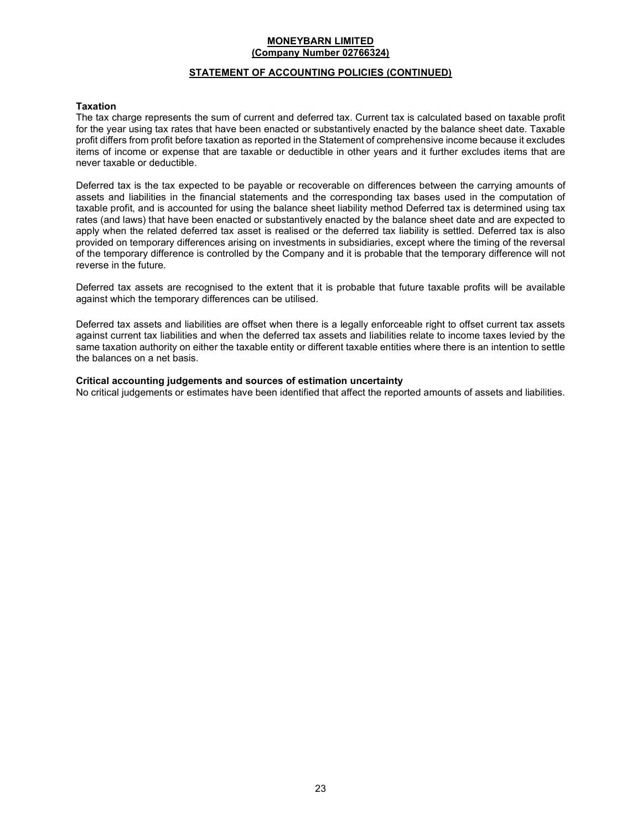### STATEMENT OF ACCOUNTING POLICIES (CONTINUED)

### Taxation

The tax charge represents the sum of current and deferred tax. Current tax is calculated based on taxable profit for the year using tax rates that have been enacted or substantively enacted by the balance sheet date. Taxable profit differs from profit before taxation as reported in the Statement of comprehensive income because it excludes items of income or expense that are taxable or deductible in other years and it further excludes items that are never taxable or deductible.

Deferred tax is the tax expected to be payable or recoverable on differences between the carrying amounts of assets and liabilities in the financial statements and the corresponding tax bases used in the computation of taxable profit, and is accounted for using the balance sheet liability method Deferred tax is determined using tax rates (and laws) that have been enacted or substantively enacted by the balance sheet date and are expected to apply when the related deferred tax asset is realised or the deferred tax liability is settled. Deferred tax is also provided on temporary differences arising on investments in subsidiaries, except where the timing of the reversal of the temporary difference is controlled by the Company and it is probable that the temporary difference will not reverse in the future.

Deferred tax assets are recognised to the extent that it is probable that future taxable profits will be available against which the temporary differences can be utilised.

Deferred tax assets and liabilities are offset when there is a legally enforceable right to offset current tax assets against current tax liabilities and when the deferred tax assets and liabilities relate to income taxes levied by the same taxation authority on either the taxable entity or different taxable entities where there is an intention to settle the balances on a net basis.

### Critical accounting judgements and sources of estimation uncertainty

No critical judgements or estimates have been identified that affect the reported amounts of assets and liabilities.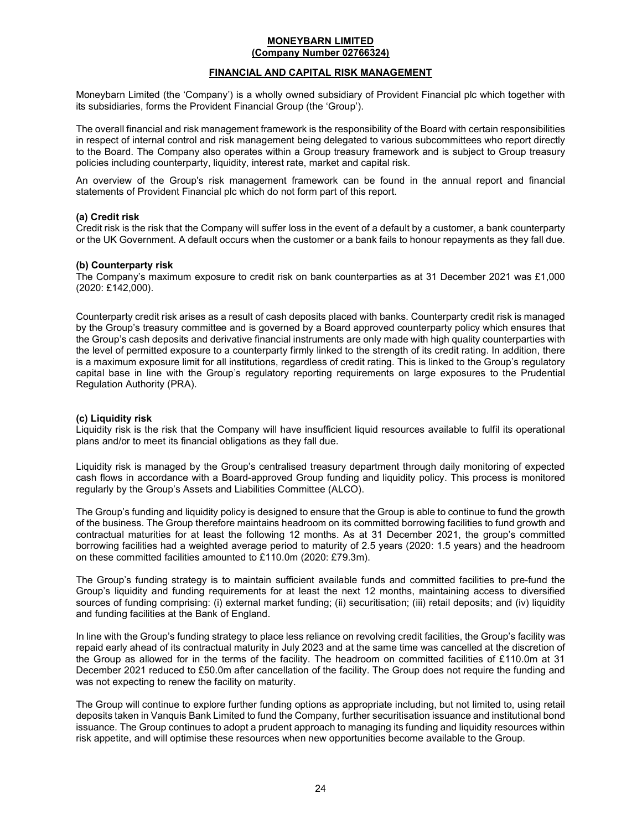### FINANCIAL AND CAPITAL RISK MANAGEMENT

Moneybarn Limited (the 'Company') is a wholly owned subsidiary of Provident Financial plc which together with its subsidiaries, forms the Provident Financial Group (the 'Group').

The overall financial and risk management framework is the responsibility of the Board with certain responsibilities in respect of internal control and risk management being delegated to various subcommittees who report directly to the Board. The Company also operates within a Group treasury framework and is subject to Group treasury policies including counterparty, liquidity, interest rate, market and capital risk.

An overview of the Group's risk management framework can be found in the annual report and financial statements of Provident Financial plc which do not form part of this report.

### (a) Credit risk

Credit risk is the risk that the Company will suffer loss in the event of a default by a customer, a bank counterparty or the UK Government. A default occurs when the customer or a bank fails to honour repayments as they fall due.

### (b) Counterparty risk

The Company's maximum exposure to credit risk on bank counterparties as at 31 December 2021 was £1,000 (2020: £142,000).

Counterparty credit risk arises as a result of cash deposits placed with banks. Counterparty credit risk is managed by the Group's treasury committee and is governed by a Board approved counterparty policy which ensures that the Group's cash deposits and derivative financial instruments are only made with high quality counterparties with the level of permitted exposure to a counterparty firmly linked to the strength of its credit rating. In addition, there is a maximum exposure limit for all institutions, regardless of credit rating. This is linked to the Group's regulatory capital base in line with the Group's regulatory reporting requirements on large exposures to the Prudential Regulation Authority (PRA).

### (c) Liquidity risk

Liquidity risk is the risk that the Company will have insufficient liquid resources available to fulfil its operational plans and/or to meet its financial obligations as they fall due.

Liquidity risk is managed by the Group's centralised treasury department through daily monitoring of expected cash flows in accordance with a Board-approved Group funding and liquidity policy. This process is monitored regularly by the Group's Assets and Liabilities Committee (ALCO).

The Group's funding and liquidity policy is designed to ensure that the Group is able to continue to fund the growth of the business. The Group therefore maintains headroom on its committed borrowing facilities to fund growth and contractual maturities for at least the following 12 months. As at 31 December 2021, the group's committed borrowing facilities had a weighted average period to maturity of 2.5 years (2020: 1.5 years) and the headroom on these committed facilities amounted to £110.0m (2020: £79.3m).

The Group's funding strategy is to maintain sufficient available funds and committed facilities to pre-fund the Group's liquidity and funding requirements for at least the next 12 months, maintaining access to diversified sources of funding comprising: (i) external market funding; (ii) securitisation; (iii) retail deposits; and (iv) liquidity and funding facilities at the Bank of England.

In line with the Group's funding strategy to place less reliance on revolving credit facilities, the Group's facility was repaid early ahead of its contractual maturity in July 2023 and at the same time was cancelled at the discretion of the Group as allowed for in the terms of the facility. The headroom on committed facilities of £110.0m at 31 December 2021 reduced to £50.0m after cancellation of the facility. The Group does not require the funding and was not expecting to renew the facility on maturity.

The Group will continue to explore further funding options as appropriate including, but not limited to, using retail deposits taken in Vanquis Bank Limited to fund the Company, further securitisation issuance and institutional bond issuance. The Group continues to adopt a prudent approach to managing its funding and liquidity resources within risk appetite, and will optimise these resources when new opportunities become available to the Group.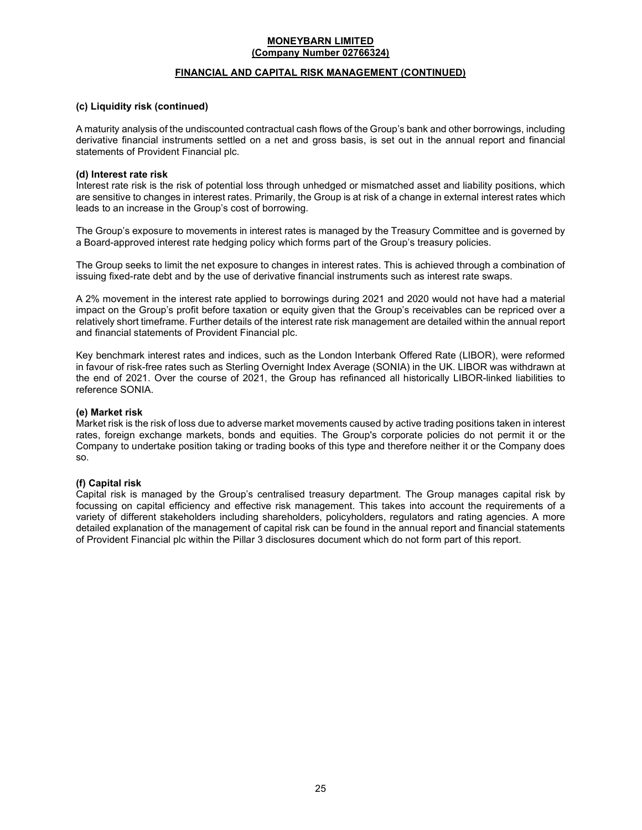### FINANCIAL AND CAPITAL RISK MANAGEMENT (CONTINUED)

### (c) Liquidity risk (continued)

A maturity analysis of the undiscounted contractual cash flows of the Group's bank and other borrowings, including derivative financial instruments settled on a net and gross basis, is set out in the annual report and financial statements of Provident Financial plc.

#### (d) Interest rate risk

Interest rate risk is the risk of potential loss through unhedged or mismatched asset and liability positions, which are sensitive to changes in interest rates. Primarily, the Group is at risk of a change in external interest rates which leads to an increase in the Group's cost of borrowing.

The Group's exposure to movements in interest rates is managed by the Treasury Committee and is governed by a Board-approved interest rate hedging policy which forms part of the Group's treasury policies.

The Group seeks to limit the net exposure to changes in interest rates. This is achieved through a combination of issuing fixed-rate debt and by the use of derivative financial instruments such as interest rate swaps.

A 2% movement in the interest rate applied to borrowings during 2021 and 2020 would not have had a material impact on the Group's profit before taxation or equity given that the Group's receivables can be repriced over a relatively short timeframe. Further details of the interest rate risk management are detailed within the annual report and financial statements of Provident Financial plc.

Key benchmark interest rates and indices, such as the London Interbank Offered Rate (LIBOR), were reformed in favour of risk-free rates such as Sterling Overnight Index Average (SONIA) in the UK. LIBOR was withdrawn at the end of 2021. Over the course of 2021, the Group has refinanced all historically LIBOR-linked liabilities to reference SONIA.

#### (e) Market risk

Market risk is the risk of loss due to adverse market movements caused by active trading positions taken in interest rates, foreign exchange markets, bonds and equities. The Group's corporate policies do not permit it or the Company to undertake position taking or trading books of this type and therefore neither it or the Company does so.

### (f) Capital risk

Capital risk is managed by the Group's centralised treasury department. The Group manages capital risk by focussing on capital efficiency and effective risk management. This takes into account the requirements of a variety of different stakeholders including shareholders, policyholders, regulators and rating agencies. A more detailed explanation of the management of capital risk can be found in the annual report and financial statements of Provident Financial plc within the Pillar 3 disclosures document which do not form part of this report.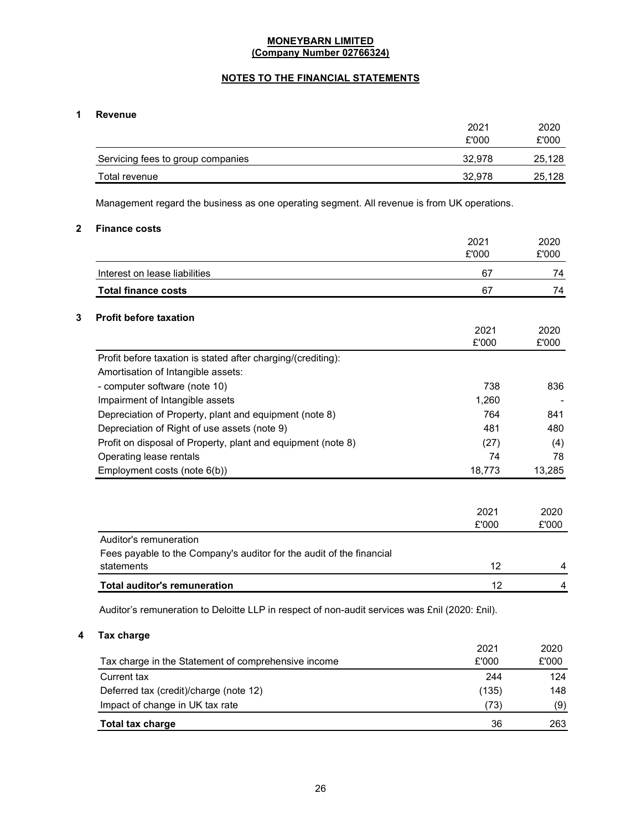### NOTES TO THE FINANCIAL STATEMENTS

### 1 Revenue

|                                   | 2021   | 2020   |
|-----------------------------------|--------|--------|
|                                   | £'000  | £'000  |
| Servicing fees to group companies | 32.978 | 25,128 |
| Total revenue                     | 32.978 | 25,128 |

Management regard the business as one operating segment. All revenue is from UK operations.

### 2 Finance costs

|                                                                                    | 2021<br>£'000 | 2020<br>£'000 |
|------------------------------------------------------------------------------------|---------------|---------------|
| Interest on lease liabilities                                                      | 67            | 74            |
| <b>Total finance costs</b>                                                         | 67            | 74            |
| <b>Profit before taxation</b>                                                      |               |               |
|                                                                                    | 2021<br>£'000 | 2020<br>£'000 |
| Profit before taxation is stated after charging/(crediting):                       |               |               |
| Amortisation of Intangible assets:                                                 |               |               |
| - computer software (note 10)                                                      | 738           | 836           |
| Impairment of Intangible assets                                                    | 1,260         |               |
| Depreciation of Property, plant and equipment (note 8)                             | 764           | 841           |
| Depreciation of Right of use assets (note 9)                                       | 481           | 480           |
| Profit on disposal of Property, plant and equipment (note 8)                       | (27)          | (4)           |
| Operating lease rentals                                                            | 74            | 78            |
| Employment costs (note 6(b))                                                       | 18,773        | 13,285        |
|                                                                                    | 2021          | 2020          |
|                                                                                    | £'000         | £'000         |
| Auditor's remuneration                                                             |               |               |
| Fees payable to the Company's auditor for the audit of the financial<br>statements | 12            | 4             |
| <b>Total auditor's remuneration</b>                                                | 12            | 4             |

|                                                     | 2021  | 2020  |
|-----------------------------------------------------|-------|-------|
| Tax charge in the Statement of comprehensive income | £'000 | £'000 |
| Current tax                                         | 244   | 124   |
| Deferred tax (credit)/charge (note 12)              | (135) | 148   |
| Impact of change in UK tax rate                     | (73)  | (9)   |
| <b>Total tax charge</b>                             | 36    | 263   |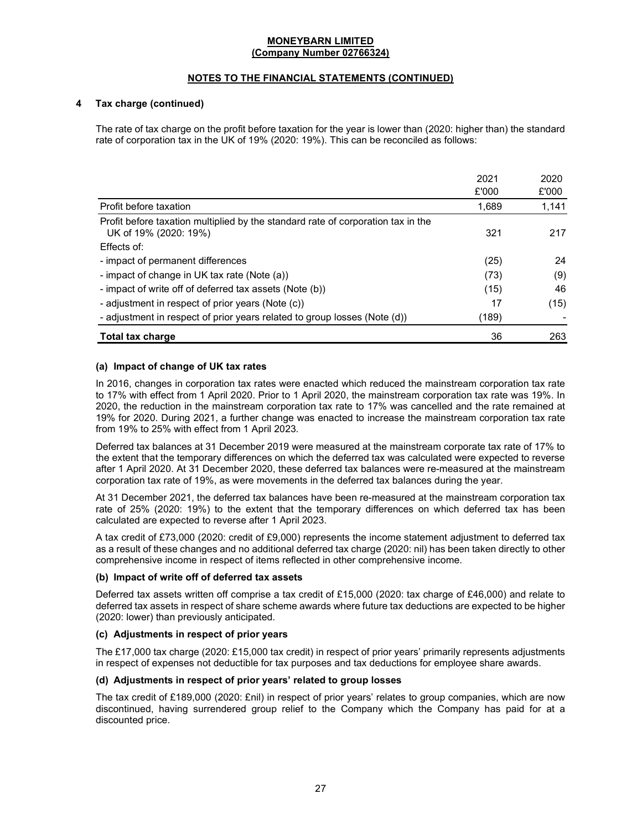### NOTES TO THE FINANCIAL STATEMENTS (CONTINUED)

### 4 Tax charge (continued)

The rate of tax charge on the profit before taxation for the year is lower than (2020: higher than) the standard rate of corporation tax in the UK of 19% (2020: 19%). This can be reconciled as follows:

|                                                                                                           | 2021  | 2020  |
|-----------------------------------------------------------------------------------------------------------|-------|-------|
|                                                                                                           | £'000 | £'000 |
| Profit before taxation                                                                                    | 1,689 | 1,141 |
| Profit before taxation multiplied by the standard rate of corporation tax in the<br>UK of 19% (2020: 19%) | 321   | 217   |
| Effects of:                                                                                               |       |       |
| - impact of permanent differences                                                                         | (25)  | 24    |
| - impact of change in UK tax rate (Note (a))                                                              | (73)  | (9)   |
| - impact of write off of deferred tax assets (Note (b))                                                   | (15)  | 46    |
| - adjustment in respect of prior years (Note (c))                                                         | 17    | (15)  |
| - adjustment in respect of prior years related to group losses (Note (d))                                 | (189) |       |
| <b>Total tax charge</b>                                                                                   | 36    | 263   |

### (a) Impact of change of UK tax rates

In 2016, changes in corporation tax rates were enacted which reduced the mainstream corporation tax rate to 17% with effect from 1 April 2020. Prior to 1 April 2020, the mainstream corporation tax rate was 19%. In 2020, the reduction in the mainstream corporation tax rate to 17% was cancelled and the rate remained at 19% for 2020. During 2021, a further change was enacted to increase the mainstream corporation tax rate from 19% to 25% with effect from 1 April 2023.

Deferred tax balances at 31 December 2019 were measured at the mainstream corporate tax rate of 17% to the extent that the temporary differences on which the deferred tax was calculated were expected to reverse after 1 April 2020. At 31 December 2020, these deferred tax balances were re-measured at the mainstream corporation tax rate of 19%, as were movements in the deferred tax balances during the year.

At 31 December 2021, the deferred tax balances have been re-measured at the mainstream corporation tax rate of 25% (2020: 19%) to the extent that the temporary differences on which deferred tax has been calculated are expected to reverse after 1 April 2023.

A tax credit of £73,000 (2020: credit of £9,000) represents the income statement adjustment to deferred tax as a result of these changes and no additional deferred tax charge (2020: nil) has been taken directly to other comprehensive income in respect of items reflected in other comprehensive income.

### (b) Impact of write off of deferred tax assets

Deferred tax assets written off comprise a tax credit of £15,000 (2020: tax charge of £46,000) and relate to deferred tax assets in respect of share scheme awards where future tax deductions are expected to be higher (2020: lower) than previously anticipated.

### (c) Adjustments in respect of prior years

The £17,000 tax charge (2020: £15,000 tax credit) in respect of prior years' primarily represents adjustments in respect of expenses not deductible for tax purposes and tax deductions for employee share awards.

### (d) Adjustments in respect of prior years' related to group losses

The tax credit of £189,000 (2020: £nil) in respect of prior years' relates to group companies, which are now discontinued, having surrendered group relief to the Company which the Company has paid for at a discounted price.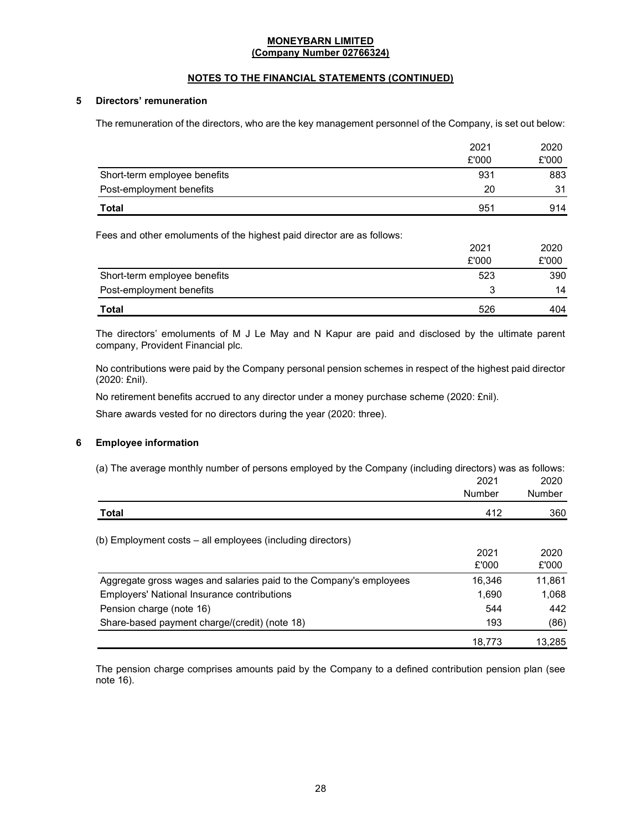### NOTES TO THE FINANCIAL STATEMENTS (CONTINUED)

### 5 Directors' remuneration

The remuneration of the directors, who are the key management personnel of the Company, is set out below:

|                              | 2021  | 2020  |
|------------------------------|-------|-------|
|                              | £'000 | £'000 |
| Short-term employee benefits | 931   | 883   |
| Post-employment benefits     | 20    | 31    |
| Total                        | 951   | 914   |

Fees and other emoluments of the highest paid director are as follows:

| Total                        | 526   | 404   |
|------------------------------|-------|-------|
| Post-employment benefits     | ຊ     | 14    |
| Short-term employee benefits | 523   | 390   |
|                              | £'000 | £'000 |
|                              | 2021  | 2020  |

The directors' emoluments of M J Le May and N Kapur are paid and disclosed by the ultimate parent company, Provident Financial plc.

No contributions were paid by the Company personal pension schemes in respect of the highest paid director (2020: £nil).

No retirement benefits accrued to any director under a money purchase scheme (2020: £nil).

Share awards vested for no directors during the year (2020: three).

### 6 Employee information

| (a) The average monthly number of persons employed by the Company (including directors) was as follows: |        |        |
|---------------------------------------------------------------------------------------------------------|--------|--------|
|                                                                                                         | 2021   | 2020   |
|                                                                                                         | Number | Number |
| <b>Total</b>                                                                                            | 412    | 360    |
|                                                                                                         |        |        |
| (b) Employment costs – all employees (including directors)                                              |        |        |
|                                                                                                         | 2021   | 2020   |
|                                                                                                         | £'000  | £'000  |
| Aggregate gross wages and salaries paid to the Company's employees                                      | 16,346 | 11,861 |
| Employers' National Insurance contributions                                                             | 1,690  | 1,068  |
| Pension charge (note 16)                                                                                | 544    | 442    |
| Share-based payment charge/(credit) (note 18)                                                           | 193    | (86)   |
|                                                                                                         | 18.773 | 13.285 |

The pension charge comprises amounts paid by the Company to a defined contribution pension plan (see note 16).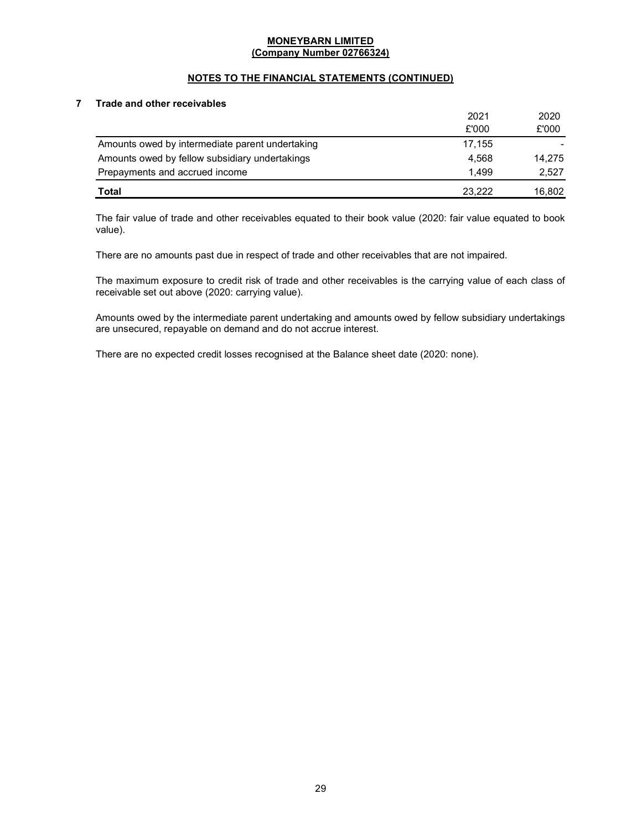### NOTES TO THE FINANCIAL STATEMENTS (CONTINUED)

### 7 Trade and other receivables

|                                                 | 2021   | 2020   |
|-------------------------------------------------|--------|--------|
|                                                 | £'000  | £'000  |
| Amounts owed by intermediate parent undertaking | 17.155 |        |
| Amounts owed by fellow subsidiary undertakings  | 4.568  | 14.275 |
| Prepayments and accrued income                  | 1.499  | 2,527  |
| Total                                           | 23.222 | 16.802 |

The fair value of trade and other receivables equated to their book value (2020: fair value equated to book value).

There are no amounts past due in respect of trade and other receivables that are not impaired.

The maximum exposure to credit risk of trade and other receivables is the carrying value of each class of receivable set out above (2020: carrying value).

 Amounts owed by the intermediate parent undertaking and amounts owed by fellow subsidiary undertakings are unsecured, repayable on demand and do not accrue interest.

There are no expected credit losses recognised at the Balance sheet date (2020: none).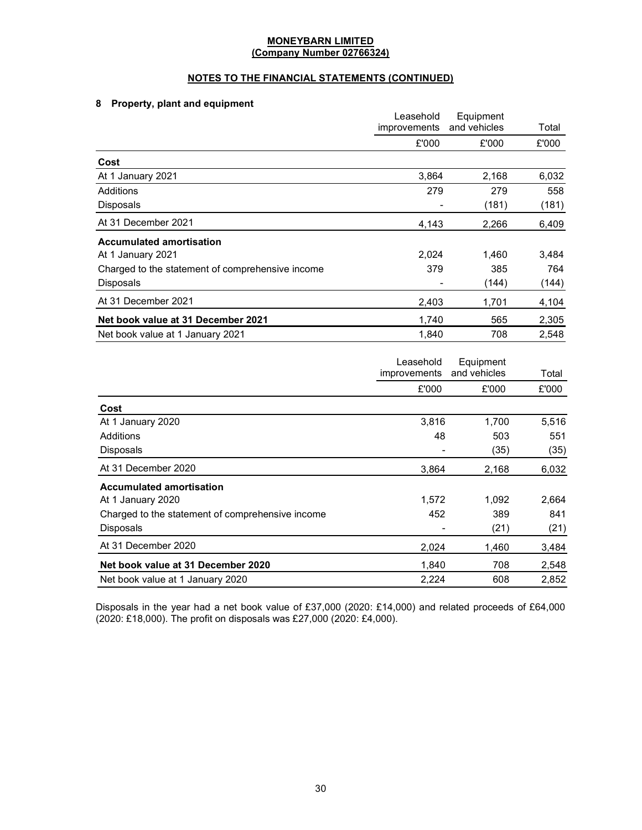## NOTES TO THE FINANCIAL STATEMENTS (CONTINUED)

### 8 Property, plant and equipment

|                                                  | Leasehold<br><i>improvements</i> | Equipment<br>and vehicles | Total |
|--------------------------------------------------|----------------------------------|---------------------------|-------|
|                                                  |                                  |                           |       |
|                                                  | £'000                            | £'000                     | £'000 |
| Cost                                             |                                  |                           |       |
| At 1 January 2021                                | 3,864                            | 2,168                     | 6,032 |
| Additions                                        | 279                              | 279                       | 558   |
| <b>Disposals</b>                                 |                                  | (181)                     | (181) |
| At 31 December 2021                              | 4,143                            | 2,266                     | 6,409 |
| <b>Accumulated amortisation</b>                  |                                  |                           |       |
| At 1 January 2021                                | 2,024                            | 1.460                     | 3,484 |
| Charged to the statement of comprehensive income | 379                              | 385                       | 764   |
| <b>Disposals</b>                                 |                                  | (144)                     | (144) |
| At 31 December 2021                              | 2,403                            | 1,701                     | 4,104 |
| Net book value at 31 December 2021               | 1,740                            | 565                       | 2,305 |
| Net book value at 1 January 2021                 | 1,840                            | 708                       | 2,548 |

|                                                  | Leasehold<br>improvements | Equipment<br>and vehicles | Total |
|--------------------------------------------------|---------------------------|---------------------------|-------|
|                                                  | £'000                     | £'000                     | £'000 |
| Cost                                             |                           |                           |       |
| At 1 January 2020                                | 3,816                     | 1,700                     | 5,516 |
| Additions                                        | 48                        | 503                       | 551   |
| Disposals                                        |                           | (35)                      | (35)  |
| At 31 December 2020                              | 3,864                     | 2,168                     | 6,032 |
| <b>Accumulated amortisation</b>                  |                           |                           |       |
| At 1 January 2020                                | 1,572                     | 1,092                     | 2,664 |
| Charged to the statement of comprehensive income | 452                       | 389                       | 841   |
| Disposals                                        |                           | (21)                      | (21)  |
| At 31 December 2020                              | 2,024                     | 1,460                     | 3,484 |
| Net book value at 31 December 2020               | 1,840                     | 708                       | 2,548 |
| Net book value at 1 January 2020                 | 2,224                     | 608                       | 2,852 |

Disposals in the year had a net book value of £37,000 (2020: £14,000) and related proceeds of £64,000 (2020: £18,000). The profit on disposals was £27,000 (2020: £4,000).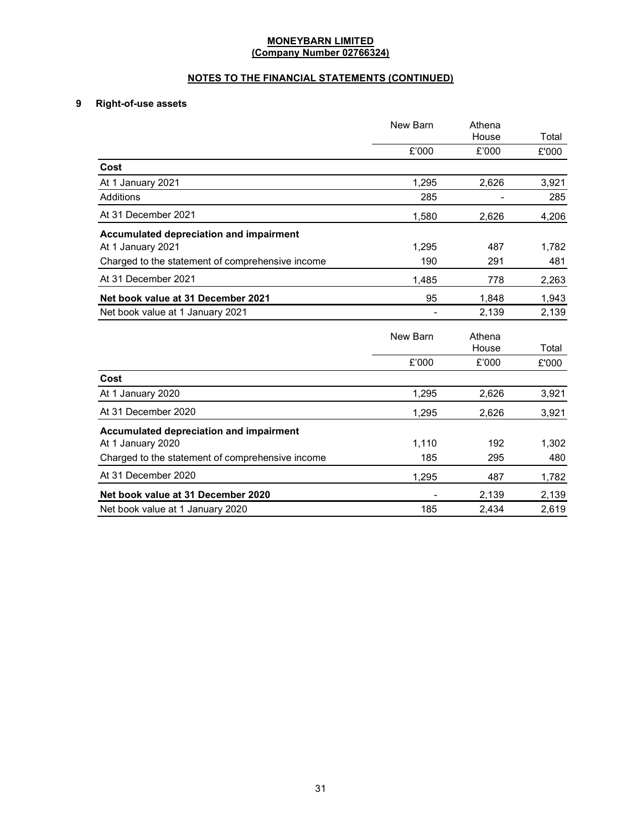## NOTES TO THE FINANCIAL STATEMENTS (CONTINUED)

### 9 Right-of-use assets

|                                                  | New Barn | Athena<br>House | Total |
|--------------------------------------------------|----------|-----------------|-------|
|                                                  | £'000    | £'000           | £'000 |
| Cost                                             |          |                 |       |
| At 1 January 2021                                | 1,295    | 2,626           | 3,921 |
| Additions                                        | 285      |                 | 285   |
| At 31 December 2021                              | 1,580    | 2,626           | 4,206 |
| Accumulated depreciation and impairment          |          |                 |       |
| At 1 January 2021                                | 1,295    | 487             | 1,782 |
| Charged to the statement of comprehensive income | 190      | 291             | 481   |
| At 31 December 2021                              | 1,485    | 778             | 2,263 |
| Net book value at 31 December 2021               | 95       | 1,848           | 1,943 |
| Net book value at 1 January 2021                 |          | 2,139           | 2,139 |
|                                                  | New Barn | Athena<br>House | Total |
|                                                  | £'000    | £'000           | £'000 |
| Cost                                             |          |                 |       |
| At 1 January 2020                                | 1,295    | 2,626           | 3,921 |
| At 31 December 2020                              | 1,295    | 2,626           | 3,921 |
| Accumulated depreciation and impairment          |          |                 |       |
| At 1 January 2020                                | 1,110    | 192             | 1,302 |
| Charged to the statement of comprehensive income | 185      | 295             | 480   |
| At 31 December 2020                              | 1,295    | 487             | 1,782 |
| Net book value at 31 December 2020               |          | 2,139           | 2,139 |
| Net book value at 1 January 2020                 | 185      | 2,434           | 2,619 |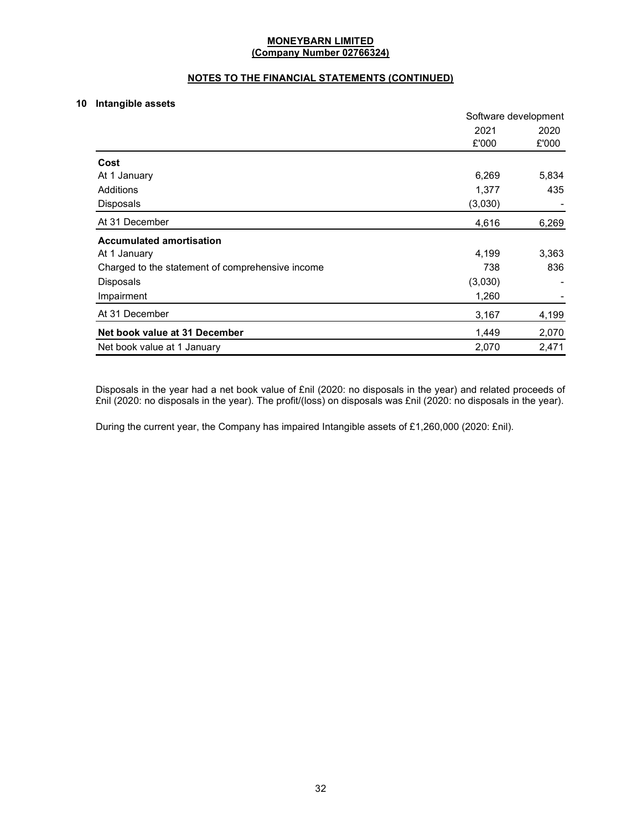### NOTES TO THE FINANCIAL STATEMENTS (CONTINUED)

### 10 Intangible assets

|                                                  |         | Software development |
|--------------------------------------------------|---------|----------------------|
|                                                  | 2021    | 2020                 |
|                                                  | £'000   | £'000                |
| Cost                                             |         |                      |
| At 1 January                                     | 6,269   | 5,834                |
| Additions                                        | 1,377   | 435                  |
| <b>Disposals</b>                                 | (3,030) |                      |
| At 31 December                                   | 4,616   | 6,269                |
| <b>Accumulated amortisation</b>                  |         |                      |
| At 1 January                                     | 4,199   | 3,363                |
| Charged to the statement of comprehensive income | 738     | 836                  |
| Disposals                                        | (3,030) |                      |
| Impairment                                       | 1,260   |                      |
| At 31 December                                   | 3,167   | 4,199                |
| Net book value at 31 December                    | 1,449   | 2,070                |
| Net book value at 1 January                      | 2,070   | 2,471                |

Disposals in the year had a net book value of £nil (2020: no disposals in the year) and related proceeds of £nil (2020: no disposals in the year). The profit/(loss) on disposals was £nil (2020: no disposals in the year).

During the current year, the Company has impaired Intangible assets of £1,260,000 (2020: £nil).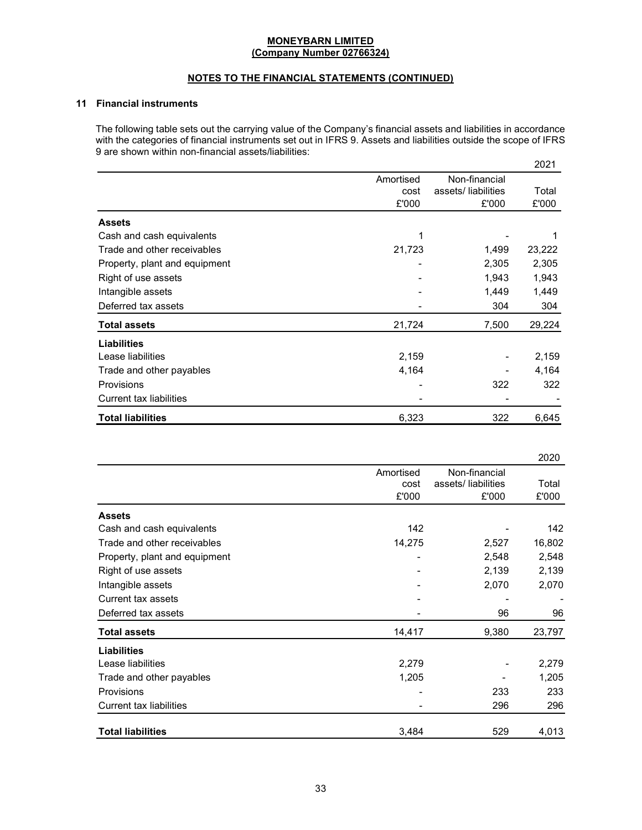### NOTES TO THE FINANCIAL STATEMENTS (CONTINUED)

### 11 Financial instruments

The following table sets out the carrying value of the Company's financial assets and liabilities in accordance with the categories of financial instruments set out in IFRS 9. Assets and liabilities outside the scope of IFRS 9 are shown within non-financial assets/liabilities:

|                               |           |                    | 2021   |
|-------------------------------|-----------|--------------------|--------|
|                               | Amortised | Non-financial      |        |
|                               | cost      | assets/liabilities | Total  |
|                               | £'000     | £'000              | £'000  |
| <b>Assets</b>                 |           |                    |        |
| Cash and cash equivalents     | 1         |                    |        |
| Trade and other receivables   | 21,723    | 1,499              | 23,222 |
| Property, plant and equipment |           | 2,305              | 2,305  |
| Right of use assets           |           | 1,943              | 1,943  |
| Intangible assets             |           | 1,449              | 1,449  |
| Deferred tax assets           |           | 304                | 304    |
| <b>Total assets</b>           | 21,724    | 7,500              | 29,224 |
| Liabilities                   |           |                    |        |
| Lease liabilities             | 2,159     |                    | 2,159  |
| Trade and other payables      | 4,164     |                    | 4,164  |
| Provisions                    |           | 322                | 322    |
| Current tax liabilities       |           |                    |        |
| <b>Total liabilities</b>      | 6,323     | 322                | 6,645  |

|                                |           |                    | 2020   |
|--------------------------------|-----------|--------------------|--------|
|                                | Amortised | Non-financial      |        |
|                                | cost      | assets/liabilities | Total  |
|                                | £'000     | £'000              | £'000  |
| <b>Assets</b>                  |           |                    |        |
| Cash and cash equivalents      | 142       |                    | 142    |
| Trade and other receivables    | 14,275    | 2,527              | 16,802 |
| Property, plant and equipment  |           | 2,548              | 2,548  |
| Right of use assets            |           | 2,139              | 2,139  |
| Intangible assets              |           | 2,070              | 2,070  |
| Current tax assets             |           |                    |        |
| Deferred tax assets            |           | 96                 | 96     |
| <b>Total assets</b>            | 14,417    | 9,380              | 23,797 |
| <b>Liabilities</b>             |           |                    |        |
| Lease liabilities              | 2,279     |                    | 2,279  |
| Trade and other payables       | 1,205     |                    | 1,205  |
| Provisions                     |           | 233                | 233    |
| <b>Current tax liabilities</b> |           | 296                | 296    |
| <b>Total liabilities</b>       | 3,484     | 529                | 4,013  |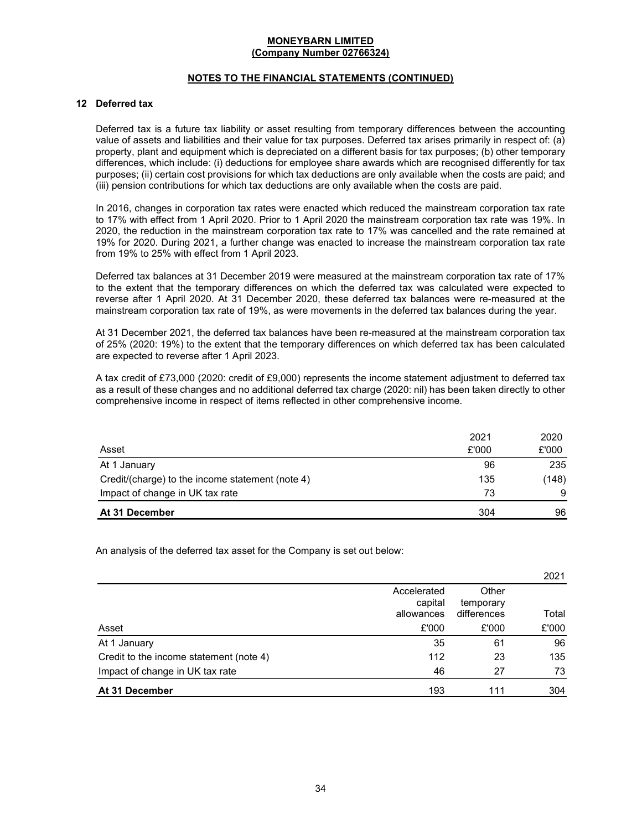### NOTES TO THE FINANCIAL STATEMENTS (CONTINUED)

### 12 Deferred tax

Deferred tax is a future tax liability or asset resulting from temporary differences between the accounting value of assets and liabilities and their value for tax purposes. Deferred tax arises primarily in respect of: (a) property, plant and equipment which is depreciated on a different basis for tax purposes; (b) other temporary differences, which include: (i) deductions for employee share awards which are recognised differently for tax purposes; (ii) certain cost provisions for which tax deductions are only available when the costs are paid; and (iii) pension contributions for which tax deductions are only available when the costs are paid.

In 2016, changes in corporation tax rates were enacted which reduced the mainstream corporation tax rate to 17% with effect from 1 April 2020. Prior to 1 April 2020 the mainstream corporation tax rate was 19%. In 2020, the reduction in the mainstream corporation tax rate to 17% was cancelled and the rate remained at 19% for 2020. During 2021, a further change was enacted to increase the mainstream corporation tax rate from 19% to 25% with effect from 1 April 2023.

Deferred tax balances at 31 December 2019 were measured at the mainstream corporation tax rate of 17% to the extent that the temporary differences on which the deferred tax was calculated were expected to reverse after 1 April 2020. At 31 December 2020, these deferred tax balances were re-measured at the mainstream corporation tax rate of 19%, as were movements in the deferred tax balances during the year.

At 31 December 2021, the deferred tax balances have been re-measured at the mainstream corporation tax of 25% (2020: 19%) to the extent that the temporary differences on which deferred tax has been calculated are expected to reverse after 1 April 2023.

A tax credit of £73,000 (2020: credit of £9,000) represents the income statement adjustment to deferred tax as a result of these changes and no additional deferred tax charge (2020: nil) has been taken directly to other comprehensive income in respect of items reflected in other comprehensive income.

| At 31 December                                   | 304   | 96    |
|--------------------------------------------------|-------|-------|
| Impact of change in UK tax rate                  | 73    | 9     |
| Credit/(charge) to the income statement (note 4) | 135   | (148) |
| At 1 January                                     | 96    | 235   |
| Asset                                            | £'000 | £'000 |
|                                                  | 2021  | 2020  |

An analysis of the deferred tax asset for the Company is set out below:

| At 31 December                          | 193         | 111         | 304   |
|-----------------------------------------|-------------|-------------|-------|
| Impact of change in UK tax rate         | 46          | 27          | 73    |
| Credit to the income statement (note 4) | 112         | 23          | 135   |
| At 1 January                            | 35          | 61          | 96    |
| Asset                                   | £'000       | £'000       | £'000 |
|                                         | allowances  | differences | Total |
|                                         | capital     | temporary   |       |
|                                         | Accelerated | Other       |       |
|                                         |             |             | 2021  |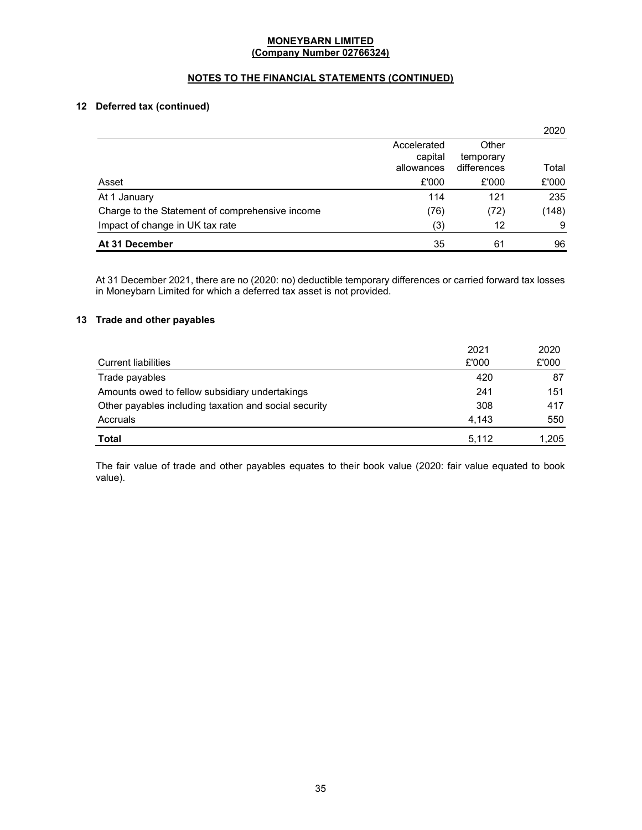### NOTES TO THE FINANCIAL STATEMENTS (CONTINUED)

### 12 Deferred tax (continued)

|                                                 |             |             | 2020  |
|-------------------------------------------------|-------------|-------------|-------|
|                                                 | Accelerated | Other       |       |
|                                                 | capital     | temporary   |       |
|                                                 | allowances  | differences | Total |
| Asset                                           | £'000       | £'000       | £'000 |
| At 1 January                                    | 114         | 121         | 235   |
| Charge to the Statement of comprehensive income | (76)        | (72)        | (148) |
| Impact of change in UK tax rate                 | (3)         | 12          | 9     |
| At 31 December                                  | 35          | 61          | 96    |

At 31 December 2021, there are no (2020: no) deductible temporary differences or carried forward tax losses in Moneybarn Limited for which a deferred tax asset is not provided.

### 13 Trade and other payables

|                                                       | 2021  | 2020  |
|-------------------------------------------------------|-------|-------|
| <b>Current liabilities</b>                            | £'000 | £'000 |
| Trade payables                                        | 420   | 87    |
| Amounts owed to fellow subsidiary undertakings        | 241   | 151   |
| Other payables including taxation and social security | 308   | 417   |
| Accruals                                              | 4.143 | 550   |
| Total                                                 | 5.112 | 1.205 |

The fair value of trade and other payables equates to their book value (2020: fair value equated to book value).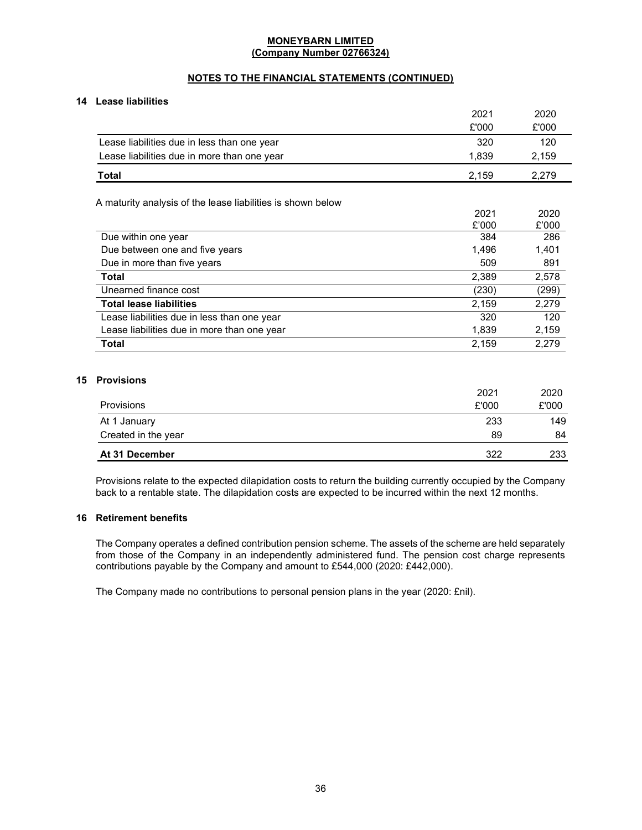### NOTES TO THE FINANCIAL STATEMENTS (CONTINUED)

### 14 Lease liabilities

|                                                             | 2021  | 2020  |
|-------------------------------------------------------------|-------|-------|
|                                                             | £'000 | £'000 |
| Lease liabilities due in less than one year                 | 320   | 120   |
| Lease liabilities due in more than one year                 | 1,839 | 2,159 |
| Total                                                       | 2,159 | 2,279 |
| A maturity analysis of the lease liabilities is shown below |       |       |
|                                                             | 2021  | 2020  |
|                                                             | £'000 | £'000 |
| Due within one year                                         | 384   | 286   |
| Due between one and five years                              | 1,496 | 1,401 |
| Due in more than five years                                 | 509   | 891   |
| <b>Total</b>                                                | 2,389 | 2,578 |
| Unearned finance cost                                       | (230) | (299) |
| <b>Total lease liabilities</b>                              | 2,159 | 2,279 |
| Lease liabilities due in less than one year                 | 320   | 120   |
| Lease liabilities due in more than one year                 | 1,839 | 2,159 |
| Total                                                       | 2,159 | 2,279 |

### 15 Provisions

| At 31 December      | 322   | 233   |
|---------------------|-------|-------|
| Created in the year | 89    | 84    |
| At 1 January        | 233   | 149   |
| Provisions          | £'000 | £'000 |
|                     | 2021  | 2020  |

Provisions relate to the expected dilapidation costs to return the building currently occupied by the Company back to a rentable state. The dilapidation costs are expected to be incurred within the next 12 months.

### 16 Retirement benefits

The Company operates a defined contribution pension scheme. The assets of the scheme are held separately from those of the Company in an independently administered fund. The pension cost charge represents contributions payable by the Company and amount to £544,000 (2020: £442,000).

The Company made no contributions to personal pension plans in the year (2020: £nil).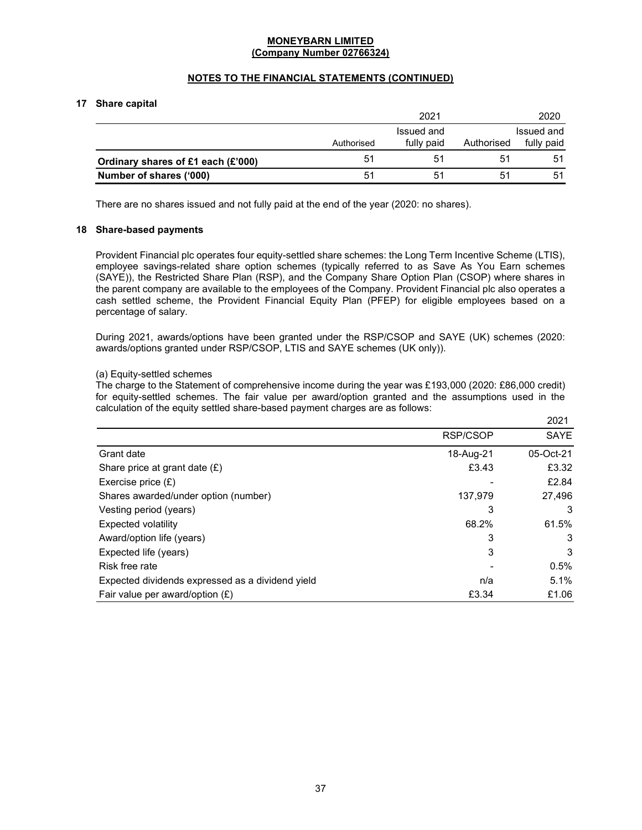### NOTES TO THE FINANCIAL STATEMENTS (CONTINUED)

### 17 Share capital

|                                    |            | 2021       |            | 2020       |
|------------------------------------|------------|------------|------------|------------|
|                                    |            | Issued and |            | Issued and |
|                                    | Authorised | fully paid | Authorised | fully paid |
| Ordinary shares of £1 each (£'000) | 51         | 51         |            |            |
| Number of shares ('000)            | 51         | 51         |            | 51         |

There are no shares issued and not fully paid at the end of the year (2020: no shares).

### 18 Share-based payments

Provident Financial plc operates four equity-settled share schemes: the Long Term Incentive Scheme (LTIS), employee savings-related share option schemes (typically referred to as Save As You Earn schemes (SAYE)), the Restricted Share Plan (RSP), and the Company Share Option Plan (CSOP) where shares in the parent company are available to the employees of the Company. Provident Financial plc also operates a cash settled scheme, the Provident Financial Equity Plan (PFEP) for eligible employees based on a percentage of salary.

During 2021, awards/options have been granted under the RSP/CSOP and SAYE (UK) schemes (2020: awards/options granted under RSP/CSOP, LTIS and SAYE schemes (UK only)).

### (a) Equity-settled schemes

The charge to the Statement of comprehensive income during the year was £193,000 (2020: £86,000 credit) for equity-settled schemes. The fair value per award/option granted and the assumptions used in the calculation of the equity settled share-based payment charges are as follows: 2021

|                                                  |           | 2021        |
|--------------------------------------------------|-----------|-------------|
|                                                  | RSP/CSOP  | <b>SAYE</b> |
| Grant date                                       | 18-Aug-21 | 05-Oct-21   |
| Share price at grant date $(E)$                  | £3.43     | £3.32       |
| Exercise price $(E)$                             |           | £2.84       |
| Shares awarded/under option (number)             | 137,979   | 27,496      |
| Vesting period (years)                           | 3         | 3           |
| <b>Expected volatility</b>                       | 68.2%     | 61.5%       |
| Award/option life (years)                        | 3         | 3           |
| Expected life (years)                            | 3         | 3           |
| Risk free rate                                   |           | 0.5%        |
| Expected dividends expressed as a dividend yield | n/a       | 5.1%        |
| Fair value per award/option $(E)$                | £3.34     | £1.06       |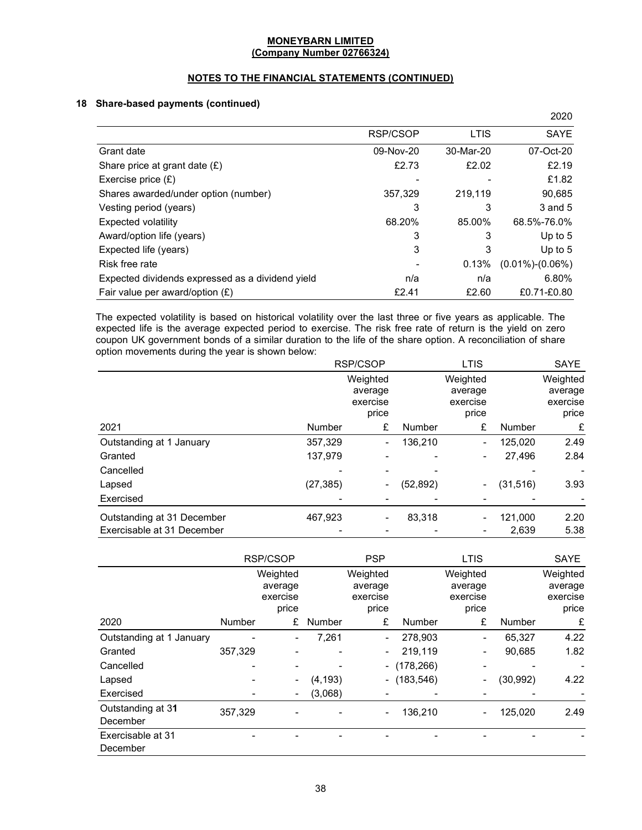### NOTES TO THE FINANCIAL STATEMENTS (CONTINUED)

### 18 Share-based payments (continued)

|                                                  |           |           | 2020                    |
|--------------------------------------------------|-----------|-----------|-------------------------|
|                                                  | RSP/CSOP  | LTIS      | <b>SAYE</b>             |
| Grant date                                       | 09-Nov-20 | 30-Mar-20 | 07-Oct-20               |
| Share price at grant date $(E)$                  | £2.73     | £2.02     | £2.19                   |
| Exercise price $(E)$                             |           |           | £1.82                   |
| Shares awarded/under option (number)             | 357,329   | 219,119   | 90,685                  |
| Vesting period (years)                           | 3         | 3         | $3$ and $5$             |
| Expected volatility                              | 68.20%    | 85.00%    | 68.5%-76.0%             |
| Award/option life (years)                        | 3         | 3         | Up to $5$               |
| Expected life (years)                            | 3         | 3         | Up to $5$               |
| Risk free rate                                   |           | 0.13%     | $(0.01\%)$ - $(0.06\%)$ |
| Expected dividends expressed as a dividend yield | n/a       | n/a       | 6.80%                   |
| Fair value per award/option $(E)$                | £2.41     | £2.60     | £0.71-£0.80             |

The expected volatility is based on historical volatility over the last three or five years as applicable. The expected life is the average expected period to exercise. The risk free rate of return is the yield on zero coupon UK government bonds of a similar duration to the life of the share option. A reconciliation of share option movements during the year is shown below:

|                            |               | RSP/CSOP |          | <b>LTIS</b> | <b>SAYE</b>   |          |
|----------------------------|---------------|----------|----------|-------------|---------------|----------|
|                            |               | Weighted |          | Weighted    |               | Weighted |
|                            |               | average  |          | average     |               | average  |
|                            |               | exercise |          | exercise    |               | exercise |
|                            |               | price    |          | price       |               | price    |
| 2021                       | <b>Number</b> | £        | Number   | £           | <b>Number</b> | £        |
| Outstanding at 1 January   | 357,329       | -        | 136,210  |             | 125,020       | 2.49     |
| Granted                    | 137,979       |          |          |             | 27,496        | 2.84     |
| Cancelled                  |               |          |          |             |               |          |
| Lapsed                     | (27, 385)     | ۰        | (52,892) |             | (31, 516)     | 3.93     |
| Exercised                  |               |          |          |             |               |          |
| Outstanding at 31 December | 467,923       | -        | 83,318   |             | 121,000       | 2.20     |
| Exercisable at 31 December |               |          |          |             | 2,639         | 5.38     |

|                               |               | RSP/CSOP                                 | <b>PSP</b> |                                          |               | <b>LTIS</b>                              |           | <b>SAYE</b>                              |  |
|-------------------------------|---------------|------------------------------------------|------------|------------------------------------------|---------------|------------------------------------------|-----------|------------------------------------------|--|
|                               |               | Weighted<br>average<br>exercise<br>price |            | Weighted<br>average<br>exercise<br>price |               | Weighted<br>average<br>exercise<br>price |           | Weighted<br>average<br>exercise<br>price |  |
| 2020                          | <b>Number</b> | £                                        | Number     | £                                        | <b>Number</b> | £                                        | Number    | £                                        |  |
| Outstanding at 1 January      |               | $\overline{\phantom{a}}$                 | 7,261      | $\blacksquare$                           | 278,903       | -                                        | 65.327    | 4.22                                     |  |
| Granted                       | 357,329       | $\overline{\phantom{a}}$                 |            |                                          | 219,119       |                                          | 90,685    | 1.82                                     |  |
| Cancelled                     |               |                                          |            |                                          | (178, 266)    |                                          |           |                                          |  |
| Lapsed                        |               | $\overline{\phantom{a}}$                 | (4, 193)   |                                          | $-$ (183,546) |                                          | (30, 992) | 4.22                                     |  |
| Exercised                     |               | $\blacksquare$                           | (3,068)    |                                          |               |                                          |           |                                          |  |
| Outstanding at 31<br>December | 357,329       | -                                        |            |                                          | 136.210       |                                          | 125,020   | 2.49                                     |  |
| Exercisable at 31<br>December |               |                                          |            |                                          |               |                                          |           |                                          |  |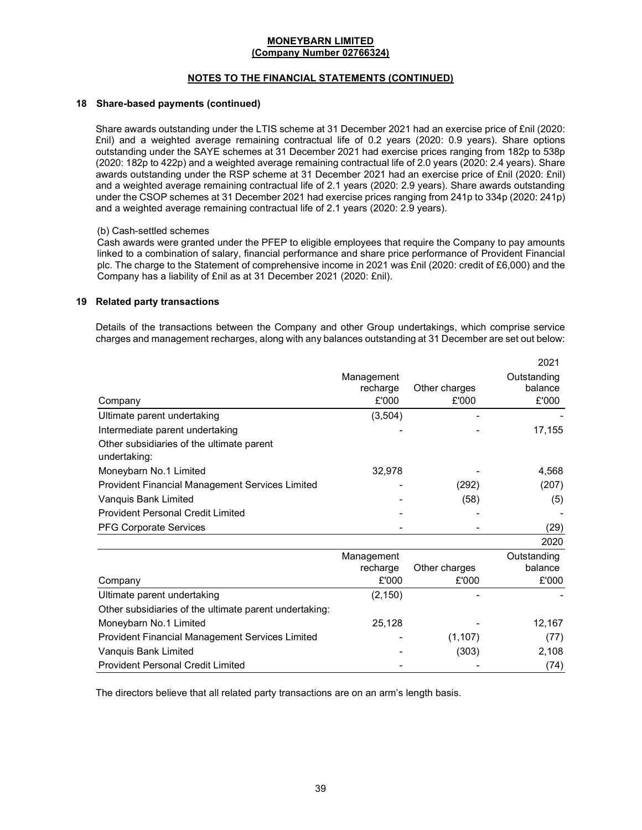### NOTES TO THE FINANCIAL STATEMENTS (CONTINUED)

### 18 Share-based payments (continued)

Share awards outstanding under the LTIS scheme at 31 December 2021 had an exercise price of £nil (2020: £nil) and a weighted average remaining contractual life of 0.2 years (2020: 0.9 years). Share options outstanding under the SAYE schemes at 31 December 2021 had exercise prices ranging from 182p to 538p (2020: 182p to 422p) and a weighted average remaining contractual life of 2.0 years (2020: 2.4 years). Share awards outstanding under the RSP scheme at 31 December 2021 had an exercise price of £nil (2020: £nil) and a weighted average remaining contractual life of 2.1 years (2020: 2.9 years). Share awards outstanding under the CSOP schemes at 31 December 2021 had exercise prices ranging from 241p to 334p (2020: 241p) and a weighted average remaining contractual life of 2.1 years (2020: 2.9 years).

### (b) Cash-settled schemes

Cash awards were granted under the PFEP to eligible employees that require the Company to pay amounts linked to a combination of salary, financial performance and share price performance of Provident Financial plc. The charge to the Statement of comprehensive income in 2021 was £nil (2020: credit of £6,000) and the Company has a liability of £nil as at 31 December 2021 (2020: £nil).

#### 19 Related party transactions

Details of the transactions between the Company and other Group undertakings, which comprise service charges and management recharges, along with any balances outstanding at 31 December are set out below:

|                                                           |            |               | 2021        |
|-----------------------------------------------------------|------------|---------------|-------------|
|                                                           | Management |               | Outstanding |
|                                                           | recharge   | Other charges | balance     |
| Company                                                   | £'000      | £'000         | £'000       |
| Ultimate parent undertaking                               | (3,504)    |               |             |
| Intermediate parent undertaking                           |            |               | 17,155      |
| Other subsidiaries of the ultimate parent<br>undertaking: |            |               |             |
| Moneybarn No.1 Limited                                    | 32,978     |               | 4,568       |
| Provident Financial Management Services Limited           |            | (292)         | (207)       |
| Vanquis Bank Limited                                      |            | (58)          | (5)         |
| <b>Provident Personal Credit Limited</b>                  |            |               |             |
| <b>PFG Corporate Services</b>                             |            |               | (29)        |
|                                                           |            |               | 2020        |
|                                                           | Management |               | Outstanding |
|                                                           | recharge   | Other charges | balance     |
| Company                                                   | £'000      | £'000         | £'000       |
| Ultimate parent undertaking                               | (2, 150)   |               |             |
| Other subsidiaries of the ultimate parent undertaking:    |            |               |             |
| Moneybarn No.1 Limited                                    | 25,128     |               | 12,167      |
| Provident Financial Management Services Limited           |            | (1, 107)      | (77)        |
| Vanquis Bank Limited                                      |            | (303)         | 2,108       |
| <b>Provident Personal Credit Limited</b>                  |            |               | (74)        |

The directors believe that all related party transactions are on an arm's length basis.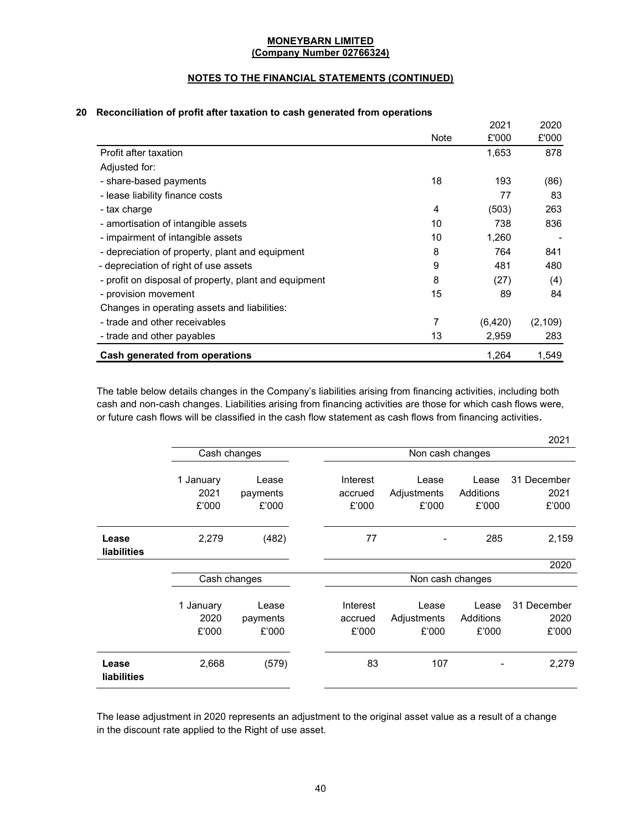### NOTES TO THE FINANCIAL STATEMENTS (CONTINUED)

### 20 Reconciliation of profit after taxation to cash generated from operations

|                                                       | Note | 2021<br>£'000 | 2020<br>£'000 |
|-------------------------------------------------------|------|---------------|---------------|
| Profit after taxation                                 |      | 1,653         | 878           |
| Adjusted for:                                         |      |               |               |
| - share-based payments                                | 18   | 193           | (86)          |
| - lease liability finance costs                       |      | 77            | 83            |
| - tax charge                                          | 4    | (503)         | 263           |
| - amortisation of intangible assets                   | 10   | 738           | 836           |
| - impairment of intangible assets                     | 10   | 1,260         |               |
| - depreciation of property, plant and equipment       | 8    | 764           | 841           |
| - depreciation of right of use assets                 | 9    | 481           | 480           |
| - profit on disposal of property, plant and equipment | 8    | (27)          | (4)           |
| - provision movement                                  | 15   | 89            | 84            |
| Changes in operating assets and liabilities:          |      |               |               |
| - trade and other receivables                         | 7    | (6, 420)      | (2, 109)      |
| - trade and other payables                            | 13   | 2,959         | 283           |
| <b>Cash generated from operations</b>                 |      | 1,264         | 1,549         |

The table below details changes in the Company's liabilities arising from financing activities, including both cash and non-cash changes. Liabilities arising from financing activities are those for which cash flows were, or future cash flows will be classified in the cash flow statement as cash flows from financing activities.

|                             |                            |                            |                  |                              |                               |                             | 2021                         |  |
|-----------------------------|----------------------------|----------------------------|------------------|------------------------------|-------------------------------|-----------------------------|------------------------------|--|
|                             | Cash changes               |                            | Non cash changes |                              |                               |                             |                              |  |
|                             | 1 January                  | Lease                      |                  | Interest                     | Lease                         | Lease                       | 31 December                  |  |
|                             | 2021                       | payments                   |                  | accrued                      | Adjustments                   | Additions                   | 2021                         |  |
|                             | £'000                      | £'000                      |                  | £'000                        | £'000                         | £'000                       | £'000                        |  |
| Lease<br><b>liabilities</b> | 2,279                      | (482)                      |                  | 77                           |                               | 285                         | 2,159                        |  |
|                             |                            |                            |                  |                              |                               |                             | 2020                         |  |
|                             | Cash changes               |                            |                  |                              |                               | Non cash changes            |                              |  |
|                             | 1 January<br>2020<br>£'000 | Lease<br>payments<br>£'000 |                  | Interest<br>accrued<br>£'000 | Lease<br>Adjustments<br>£'000 | Lease<br>Additions<br>£'000 | 31 December<br>2020<br>£'000 |  |
| Lease<br>liabilities        | 2,668                      | (579)                      |                  | 83                           | 107                           |                             | 2,279                        |  |

The lease adjustment in 2020 represents an adjustment to the original asset value as a result of a change in the discount rate applied to the Right of use asset.